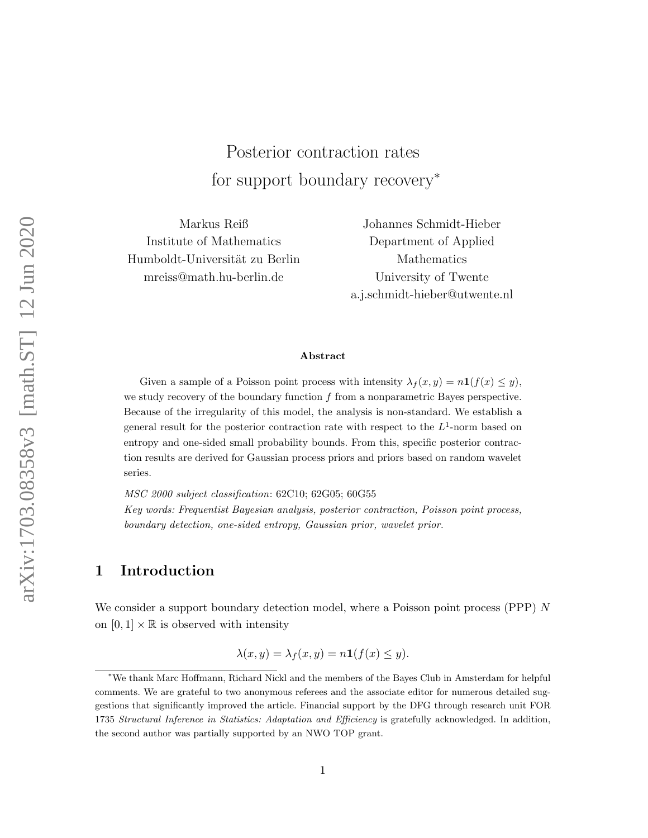# Posterior contraction rates for support boundary recovery<sup>∗</sup>

Markus Reiß Institute of Mathematics Humboldt-Universität zu Berlin mreiss@math.hu-berlin.de

Johannes Schmidt-Hieber Department of Applied Mathematics University of Twente a.j.schmidt-hieber@utwente.nl

#### Abstract

Given a sample of a Poisson point process with intensity  $\lambda_f(x, y) = n \mathbf{1}(f(x) \leq y)$ , we study recovery of the boundary function  $f$  from a nonparametric Bayes perspective. Because of the irregularity of this model, the analysis is non-standard. We establish a general result for the posterior contraction rate with respect to the  $L^1$ -norm based on entropy and one-sided small probability bounds. From this, specific posterior contraction results are derived for Gaussian process priors and priors based on random wavelet series.

MSC 2000 subject classification: 62C10; 62G05; 60G55 Key words: Frequentist Bayesian analysis, posterior contraction, Poisson point process, boundary detection, one-sided entropy, Gaussian prior, wavelet prior.

# <span id="page-0-0"></span>1 Introduction

We consider a support boundary detection model, where a Poisson point process (PPP)  $N$ on  $[0, 1] \times \mathbb{R}$  is observed with intensity

$$
\lambda(x, y) = \lambda_f(x, y) = n\mathbf{1}(f(x) \le y).
$$

<sup>∗</sup>We thank Marc Hoffmann, Richard Nickl and the members of the Bayes Club in Amsterdam for helpful comments. We are grateful to two anonymous referees and the associate editor for numerous detailed suggestions that significantly improved the article. Financial support by the DFG through research unit FOR 1735 Structural Inference in Statistics: Adaptation and Efficiency is gratefully acknowledged. In addition, the second author was partially supported by an NWO TOP grant.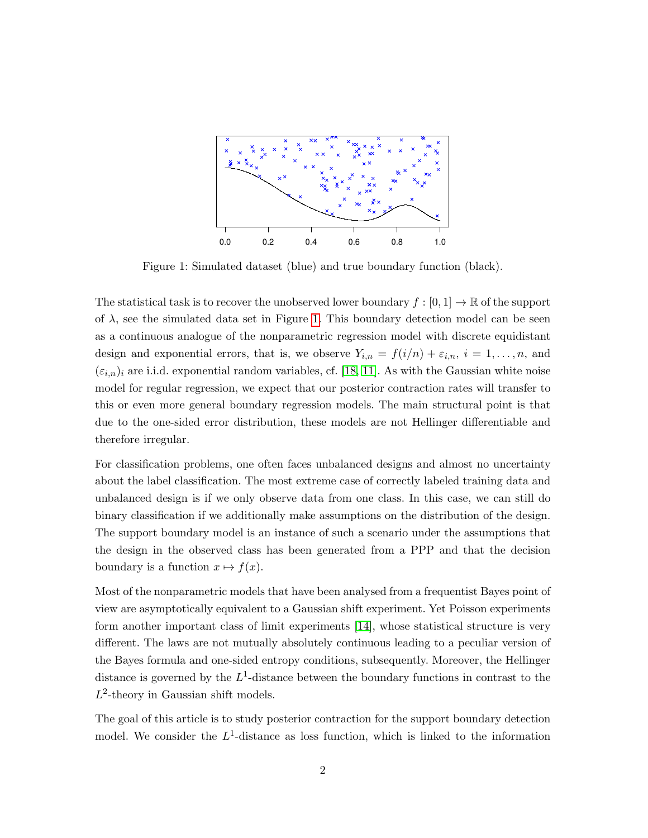

Figure 1: Simulated dataset (blue) and true boundary function (black).

The statistical task is to recover the unobserved lower boundary  $f : [0,1] \to \mathbb{R}$  of the support of  $\lambda$ , see the simulated data set in Figure [1.](#page-0-0) This boundary detection model can be seen as a continuous analogue of the nonparametric regression model with discrete equidistant design and exponential errors, that is, we observe  $Y_{i,n} = f(i/n) + \varepsilon_{i,n}, i = 1, \ldots, n$ , and  $(\varepsilon_{i,n})_i$  are i.i.d. exponential random variables, cf. [\[18,](#page-22-0) [11\]](#page-22-1). As with the Gaussian white noise model for regular regression, we expect that our posterior contraction rates will transfer to this or even more general boundary regression models. The main structural point is that due to the one-sided error distribution, these models are not Hellinger differentiable and therefore irregular.

For classification problems, one often faces unbalanced designs and almost no uncertainty about the label classification. The most extreme case of correctly labeled training data and unbalanced design is if we only observe data from one class. In this case, we can still do binary classification if we additionally make assumptions on the distribution of the design. The support boundary model is an instance of such a scenario under the assumptions that the design in the observed class has been generated from a PPP and that the decision boundary is a function  $x \mapsto f(x)$ .

Most of the nonparametric models that have been analysed from a frequentist Bayes point of view are asymptotically equivalent to a Gaussian shift experiment. Yet Poisson experiments form another important class of limit experiments [\[14\]](#page-22-2), whose statistical structure is very different. The laws are not mutually absolutely continuous leading to a peculiar version of the Bayes formula and one-sided entropy conditions, subsequently. Moreover, the Hellinger distance is governed by the  $L^1$ -distance between the boundary functions in contrast to the  $L^2$ -theory in Gaussian shift models.

The goal of this article is to study posterior contraction for the support boundary detection model. We consider the  $L^1$ -distance as loss function, which is linked to the information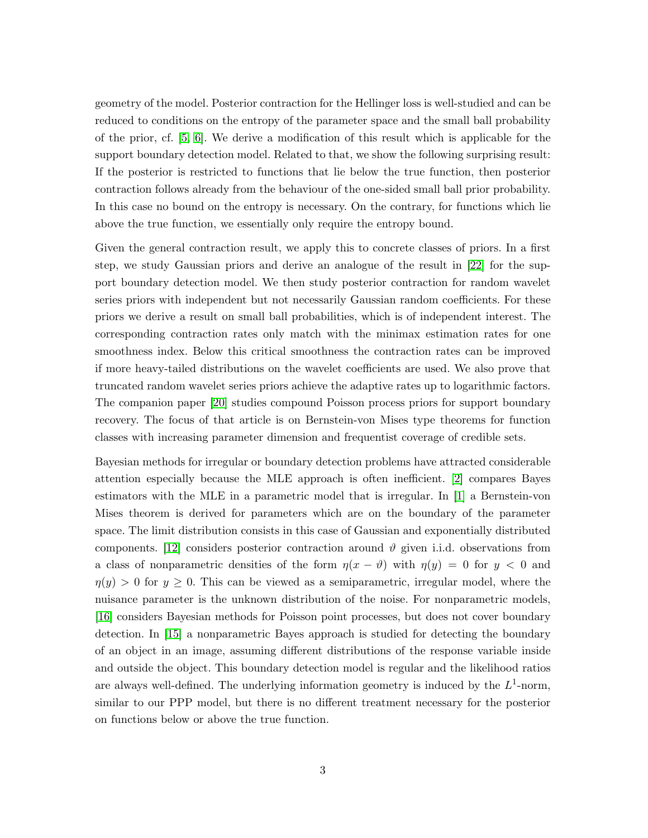geometry of the model. Posterior contraction for the Hellinger loss is well-studied and can be reduced to conditions on the entropy of the parameter space and the small ball probability of the prior, cf. [\[5,](#page-21-0) [6\]](#page-22-3). We derive a modification of this result which is applicable for the support boundary detection model. Related to that, we show the following surprising result: If the posterior is restricted to functions that lie below the true function, then posterior contraction follows already from the behaviour of the one-sided small ball prior probability. In this case no bound on the entropy is necessary. On the contrary, for functions which lie above the true function, we essentially only require the entropy bound.

Given the general contraction result, we apply this to concrete classes of priors. In a first step, we study Gaussian priors and derive an analogue of the result in [\[22\]](#page-23-0) for the support boundary detection model. We then study posterior contraction for random wavelet series priors with independent but not necessarily Gaussian random coefficients. For these priors we derive a result on small ball probabilities, which is of independent interest. The corresponding contraction rates only match with the minimax estimation rates for one smoothness index. Below this critical smoothness the contraction rates can be improved if more heavy-tailed distributions on the wavelet coefficients are used. We also prove that truncated random wavelet series priors achieve the adaptive rates up to logarithmic factors. The companion paper [\[20\]](#page-22-4) studies compound Poisson process priors for support boundary recovery. The focus of that article is on Bernstein-von Mises type theorems for function classes with increasing parameter dimension and frequentist coverage of credible sets.

Bayesian methods for irregular or boundary detection problems have attracted considerable attention especially because the MLE approach is often inefficient. [\[2\]](#page-21-1) compares Bayes estimators with the MLE in a parametric model that is irregular. In [\[1\]](#page-21-2) a Bernstein-von Mises theorem is derived for parameters which are on the boundary of the parameter space. The limit distribution consists in this case of Gaussian and exponentially distributed components. [\[12\]](#page-22-5) considers posterior contraction around  $\vartheta$  given i.i.d. observations from a class of nonparametric densities of the form  $\eta(x - \vartheta)$  with  $\eta(y) = 0$  for  $y < 0$  and  $\eta(y) > 0$  for  $y \geq 0$ . This can be viewed as a semiparametric, irregular model, where the nuisance parameter is the unknown distribution of the noise. For nonparametric models, [\[16\]](#page-22-6) considers Bayesian methods for Poisson point processes, but does not cover boundary detection. In [\[15\]](#page-22-7) a nonparametric Bayes approach is studied for detecting the boundary of an object in an image, assuming different distributions of the response variable inside and outside the object. This boundary detection model is regular and the likelihood ratios are always well-defined. The underlying information geometry is induced by the  $L^1$ -norm, similar to our PPP model, but there is no different treatment necessary for the posterior on functions below or above the true function.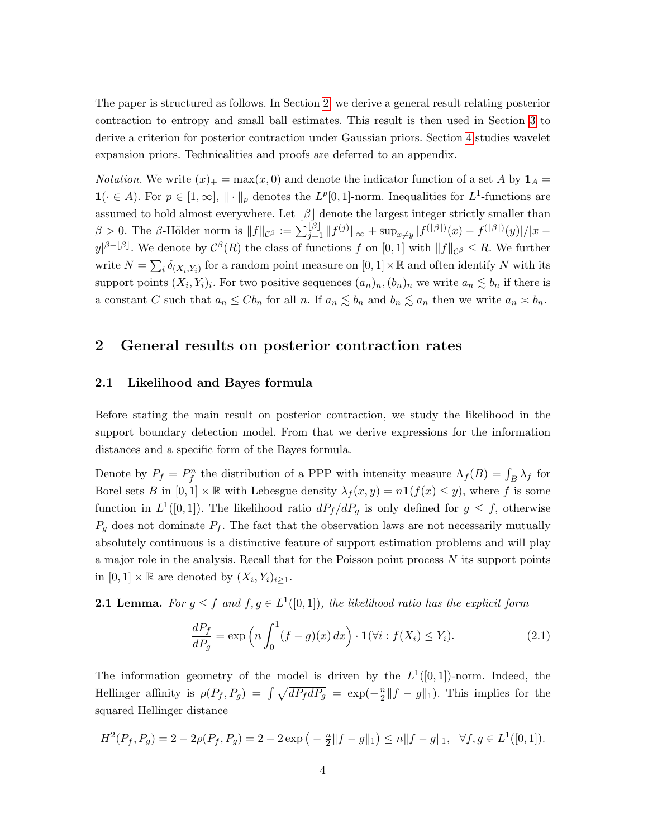The paper is structured as follows. In Section [2,](#page-3-0) we derive a general result relating posterior contraction to entropy and small ball estimates. This result is then used in Section [3](#page-7-0) to derive a criterion for posterior contraction under Gaussian priors. Section [4](#page-9-0) studies wavelet expansion priors. Technicalities and proofs are deferred to an appendix.

*Notation.* We write  $(x)_{+} = \max(x, 0)$  and denote the indicator function of a set A by  $\mathbf{1}_{A} =$  $\mathbf{1}(\cdot \in A)$ . For  $p \in [1,\infty], \| \cdot \|_p$  denotes the  $L^p[0,1]$ -norm. Inequalities for  $L^1$ -functions are assumed to hold almost everywhere. Let  $\lvert \beta \rvert$  denote the largest integer strictly smaller than  $\beta > 0$ . The  $\beta$ -Hölder norm is  $||f||_{\mathcal{C}^{\beta}} := \sum_{j=1}^{\lfloor \beta \rfloor} ||f^{(j)}||_{\infty} + \sup_{x \neq y} |f^{(\lfloor \beta \rfloor)}(x) - f^{(\lfloor \beta \rfloor)}(y)|/|x - y|$  $y|^{\beta - \lfloor \beta \rfloor}$ . We denote by  $\mathcal{C}^{\beta}(R)$  the class of functions f on  $[0,1]$  with  $||f||_{\mathcal{C}^{\beta}} \leq R$ . We further write  $N = \sum_i \delta_{(X_i, Y_i)}$  for a random point measure on  $[0, 1] \times \mathbb{R}$  and often identify N with its support points  $(X_i, Y_i)_i$ . For two positive sequences  $(a_n)_n, (b_n)_n$  we write  $a_n \lesssim b_n$  if there is a constant C such that  $a_n \leq C b_n$  for all n. If  $a_n \lesssim b_n$  and  $b_n \lesssim a_n$  then we write  $a_n \asymp b_n$ .

# <span id="page-3-0"></span>2 General results on posterior contraction rates

## 2.1 Likelihood and Bayes formula

Before stating the main result on posterior contraction, we study the likelihood in the support boundary detection model. From that we derive expressions for the information distances and a specific form of the Bayes formula.

Denote by  $P_f = P_f^n$  the distribution of a PPP with intensity measure  $\Lambda_f(B) = \int_B \lambda_f$  for Borel sets B in  $[0,1] \times \mathbb{R}$  with Lebesgue density  $\lambda_f(x,y) = n \mathbf{1}(f(x) \leq y)$ , where f is some function in  $L^1([0,1])$ . The likelihood ratio  $dP_f/dP_g$  is only defined for  $g \leq f$ , otherwise  $P_q$  does not dominate  $P_f$ . The fact that the observation laws are not necessarily mutually absolutely continuous is a distinctive feature of support estimation problems and will play a major role in the analysis. Recall that for the Poisson point process N its support points in  $[0,1] \times \mathbb{R}$  are denoted by  $(X_i, Y_i)_{i \geq 1}$ .

<span id="page-3-1"></span>**2.1 Lemma.** For  $g \leq f$  and  $f, g \in L^1([0,1])$ , the likelihood ratio has the explicit form

<span id="page-3-2"></span>
$$
\frac{dP_f}{dP_g} = \exp\left(n \int_0^1 (f - g)(x) dx\right) \cdot \mathbf{1}(\forall i : f(X_i) \le Y_i). \tag{2.1}
$$

The information geometry of the model is driven by the  $L^1([0,1])$ -norm. Indeed, the Hellinger affinity is  $\rho(P_f, P_g) = \int \sqrt{dP_f dP_g} = \exp(-\frac{n}{2})$  $\frac{n}{2}||f - g||_1$ ). This implies for the squared Hellinger distance

$$
H^{2}(P_{f}, P_{g}) = 2 - 2\rho(P_{f}, P_{g}) = 2 - 2\exp\left(-\frac{n}{2}||f - g||_{1}\right) \le n||f - g||_{1}, \quad \forall f, g \in L^{1}([0, 1]).
$$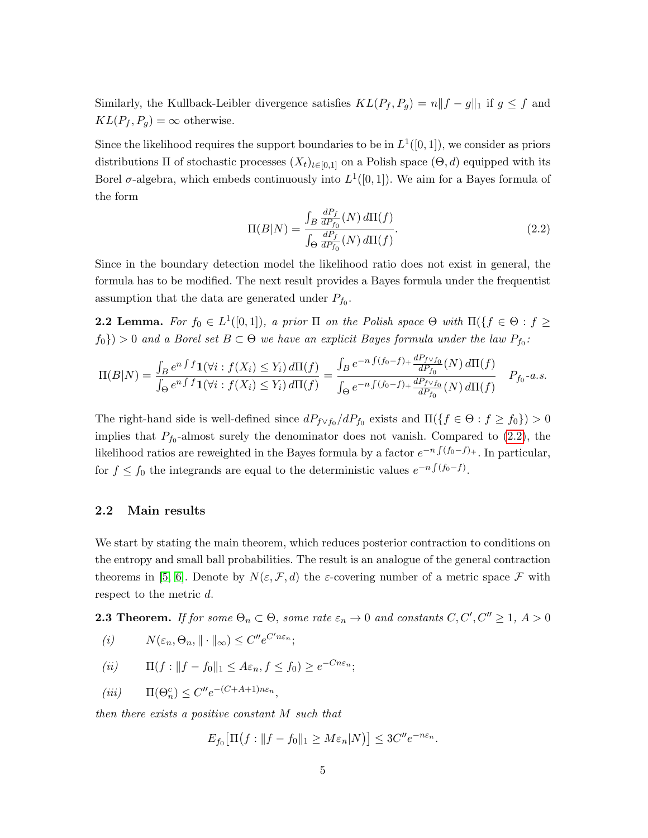Similarly, the Kullback-Leibler divergence satisfies  $KL(P_f, P_g) = n||f - g||_1$  if  $g \le f$  and  $KL(P_f, P_g) = \infty$  otherwise.

Since the likelihood requires the support boundaries to be in  $L^1([0,1])$ , we consider as priors distributions  $\Pi$  of stochastic processes  $(X_t)_{t\in[0,1]}$  on a Polish space  $(\Theta, d)$  equipped with its Borel  $\sigma$ -algebra, which embeds continuously into  $L^1([0,1])$ . We aim for a Bayes formula of the form

<span id="page-4-0"></span>
$$
\Pi(B|N) = \frac{\int_B \frac{dP_f}{dP_{f_0}}(N) d\Pi(f)}{\int_{\Theta} \frac{dP_f}{dP_{f_0}}(N) d\Pi(f)}.
$$
\n(2.2)

Since in the boundary detection model the likelihood ratio does not exist in general, the formula has to be modified. The next result provides a Bayes formula under the frequentist assumption that the data are generated under  $P_{f_0}$ .

<span id="page-4-2"></span>**2.2 Lemma.** For  $f_0 \in L^1([0,1])$ , a prior  $\Pi$  on the Polish space  $\Theta$  with  $\Pi(\lbrace f \in \Theta : f \geq 1 \rbrace)$  $f_0$ }) > 0 and a Borel set  $B \subset \Theta$  we have an explicit Bayes formula under the law  $P_{f_0}$ :

$$
\Pi(B|N) = \frac{\int_B e^{n\int f} \mathbf{1}(\forall i : f(X_i) \le Y_i) d\Pi(f)}{\int_B e^{n\int f} \mathbf{1}(\forall i : f(X_i) \le Y_i) d\Pi(f)} = \frac{\int_B e^{-n\int (f_0 - f) + \frac{dP_f \vee f_0}{dP_{f_0}}}(N) d\Pi(f)}{\int_B e^{-n\int (f_0 - f) + \frac{dP_f \vee f_0}{dP_{f_0}}}(N) d\Pi(f)} \quad P_{f_0} \text{-}a.s.
$$

The right-hand side is well-defined since  $dP_{f \vee f_0}/dP_{f_0}$  exists and  $\Pi({f \in \Theta : f \ge f_0}) > 0$ implies that  $P_{f_0}$ -almost surely the denominator does not vanish. Compared to  $(2.2)$ , the likelihood ratios are reweighted in the Bayes formula by a factor  $e^{-n\int (f_0-f)_+}$ . In particular, for  $f \le f_0$  the integrands are equal to the deterministic values  $e^{-n \int (f_0 - f)}$ .

## 2.2 Main results

We start by stating the main theorem, which reduces posterior contraction to conditions on the entropy and small ball probabilities. The result is an analogue of the general contraction theorems in [\[5,](#page-21-0) [6\]](#page-22-3). Denote by  $N(\varepsilon, \mathcal{F}, d)$  the  $\varepsilon$ -covering number of a metric space  $\mathcal F$  with respect to the metric d.

<span id="page-4-1"></span>**2.3 Theorem.** If for some  $\Theta_n \subset \Theta$ , some rate  $\varepsilon_n \to 0$  and constants  $C, C', C'' \geq 1, A > 0$ 

$$
(i) \t N(\varepsilon_n, \Theta_n, \|\cdot\|_{\infty}) \le C'' e^{C'n\varepsilon_n};
$$

$$
(ii) \qquad \Pi(f: \|f - f_0\|_1 \le A\varepsilon_n, f \le f_0) \ge e^{-Cn\varepsilon_n};
$$

$$
(iii) \qquad \Pi(\Theta_n^c) \le C'' e^{-(C+A+1)n\varepsilon_n},
$$

then there exists a positive constant M such that

$$
E_{f_0}\big[\Pi\big(f: \|f - f_0\|_1 \ge M\varepsilon_n|N\big)\big] \le 3C'' e^{-n\varepsilon_n}.
$$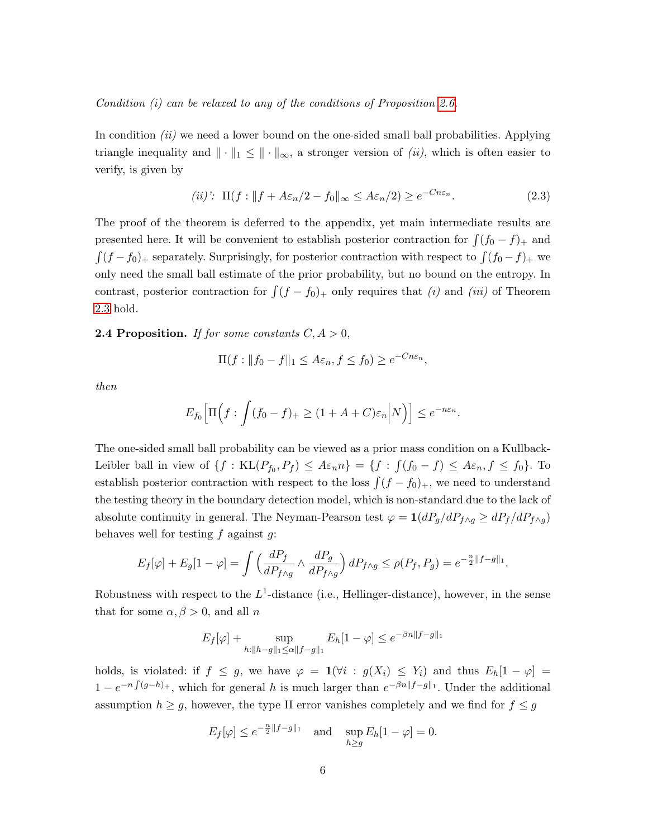Condition (i) can be relaxed to any of the conditions of Proposition [2.6.](#page-6-0)

In condition  $(ii)$  we need a lower bound on the one-sided small ball probabilities. Applying triangle inequality and  $\|\cdot\|_1 \leq \|\cdot\|_{\infty}$ , a stronger version of *(ii)*, which is often easier to verify, is given by

<span id="page-5-1"></span>
$$
(ii)': \ \Pi(f: \|f + A\varepsilon_n/2 - f_0\|_{\infty} \le A\varepsilon_n/2) \ge e^{-Cn\varepsilon_n}.\tag{2.3}
$$

The proof of the theorem is deferred to the appendix, yet main intermediate results are presented here. It will be convenient to establish posterior contraction for  $\int (f_0 - f)_+$  and  $\int (f - f_0)_+$  separately. Surprisingly, for posterior contraction with respect to  $\int (f_0 - f)_+$  we only need the small ball estimate of the prior probability, but no bound on the entropy. In contrast, posterior contraction for  $\int (f - f_0)_+$  only requires that (i) and (iii) of Theorem [2.3](#page-4-1) hold.

### <span id="page-5-0"></span>**2.4 Proposition.** If for some constants  $C, A > 0$ ,

$$
\Pi(f: ||f_0 - f||_1 \le A\varepsilon_n, f \le f_0) \ge e^{-Cn\varepsilon_n},
$$

then

$$
E_{f_0}\Big[\Pi\Big(f:\int (f_0-f)_+\geq (1+A+C)\varepsilon_n\Big|N\Big)\Big]\leq e^{-n\varepsilon_n}.
$$

The one-sided small ball probability can be viewed as a prior mass condition on a Kullback-Leibler ball in view of  $\{f: KL(P_{f_0}, P_f) \leq A\varepsilon_n n\} = \{f: \int (f_0 - f) \leq A\varepsilon_n, f \leq f_0\}$ . To establish posterior contraction with respect to the loss  $\int (f - f_0)_+$ , we need to understand the testing theory in the boundary detection model, which is non-standard due to the lack of absolute continuity in general. The Neyman-Pearson test  $\varphi = 1(dP_g/dP_{f \wedge g} \geq dP_f/dP_{f \wedge g})$ behaves well for testing  $f$  against  $g$ :

$$
E_f[\varphi] + E_g[1 - \varphi] = \int \left(\frac{dP_f}{dP_{f\wedge g}} \wedge \frac{dP_g}{dP_{f\wedge g}}\right) dP_{f\wedge g} \le \rho(P_f, P_g) = e^{-\frac{n}{2}||f - g||_1}.
$$

Robustness with respect to the  $L^1$ -distance (i.e., Hellinger-distance), however, in the sense that for some  $\alpha, \beta > 0$ , and all n

$$
E_f[\varphi] + \sup_{h:\|h-g\|_1 \le \alpha \|f-g\|_1} E_h[1-\varphi] \le e^{-\beta n \|f-g\|_1}
$$

holds, is violated: if  $f \leq g$ , we have  $\varphi = \mathbf{1}(\forall i : g(X_i) \leq Y_i)$  and thus  $E_h[1 - \varphi] =$  $1 - e^{-n \int (g-h)_+}$ , which for general h is much larger than  $e^{-\beta n \|f-g\|_1}$ . Under the additional assumption  $h \geq g$ , however, the type II error vanishes completely and we find for  $f \leq g$ 

$$
E_f[\varphi] \le e^{-\frac{n}{2}||f-g||_1} \quad \text{and} \quad \sup_{h \ge g} E_h[1-\varphi] = 0.
$$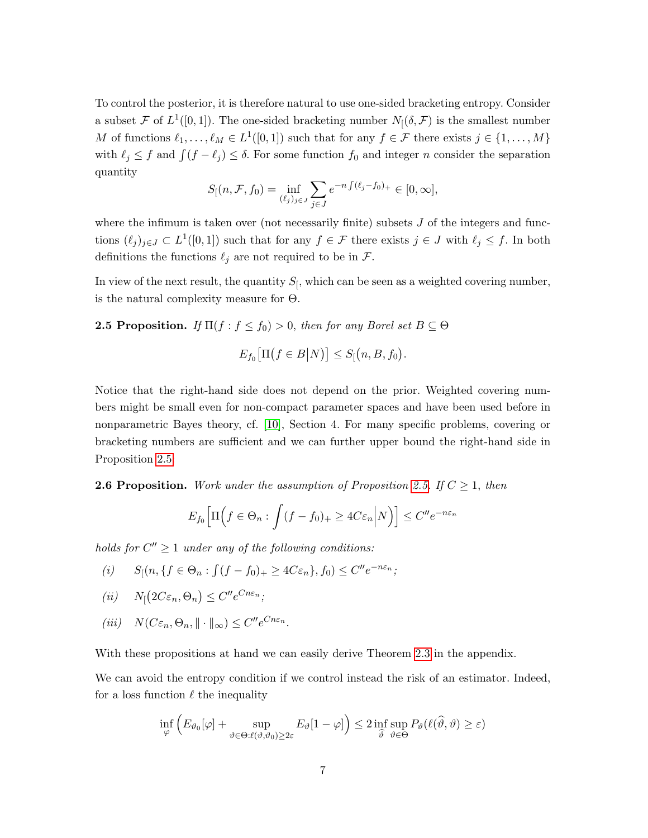To control the posterior, it is therefore natural to use one-sided bracketing entropy. Consider a subset F of  $L^1([0,1])$ . The one-sided bracketing number  $N_1(\delta, \mathcal{F})$  is the smallest number M of functions  $\ell_1, \ldots, \ell_M \in L^1([0,1])$  such that for any  $f \in \mathcal{F}$  there exists  $j \in \{1, \ldots, M\}$ with  $\ell_j \leq f$  and  $\int (f - \ell_j) \leq \delta$ . For some function  $f_0$  and integer n consider the separation quantity

$$
S[(n, \mathcal{F}, f_0) = \inf_{(\ell_j)_{j \in J}} \sum_{j \in J} e^{-n \int (\ell_j - f_0)_+} \in [0, \infty],
$$

where the infimum is taken over (not necessarily finite) subsets  $J$  of the integers and functions  $(\ell_j)_{j\in J} \subset L^1([0,1])$  such that for any  $f \in \mathcal{F}$  there exists  $j \in J$  with  $\ell_j \leq f$ . In both definitions the functions  $\ell_j$  are not required to be in  $\mathcal{F}$ .

In view of the next result, the quantity  $S_{\mathfrak{f}}$ , which can be seen as a weighted covering number, is the natural complexity measure for Θ.

<span id="page-6-1"></span>**2.5 Proposition.** If  $\Pi(f : f \leq f_0) > 0$ , then for any Borel set  $B \subseteq \Theta$ 

$$
E_{f_0}\big[\Pi(f\in B|N)\big]\leq S_{\lbrack}(n,B,f_0).
$$

Notice that the right-hand side does not depend on the prior. Weighted covering numbers might be small even for non-compact parameter spaces and have been used before in nonparametric Bayes theory, cf. [\[10\]](#page-22-8), Section 4. For many specific problems, covering or bracketing numbers are sufficient and we can further upper bound the right-hand side in Proposition [2.5:](#page-6-1)

<span id="page-6-0"></span>**2.6 Proposition.** Work under the assumption of Proposition [2.5.](#page-6-1) If  $C \geq 1$ , then

$$
E_{f_0}\Big[\Pi\Big(f\in\Theta_n:\int (f-f_0)_+\geq 4C\varepsilon_n\Big|N\Big)\Big]\leq C''e^{-n\varepsilon_n}
$$

holds for  $C'' \geq 1$  under any of the following conditions:

$$
(i) \qquad S_{[}(n,\{f \in \Theta_n : \int (f - f_0)_+ \ge 4C\varepsilon_n\}, f_0) \le C'' e^{-n\varepsilon_n};
$$

$$
(ii) \t N_{\lbrack}(2C\varepsilon_n, \Theta_n) \leq C'' e^{Cn\varepsilon_n};
$$

$$
(iii) \quad N(C\varepsilon_n, \Theta_n, \|\cdot\|_{\infty}) \le C'' e^{Cn\varepsilon_n}.
$$

With these propositions at hand we can easily derive Theorem [2.3](#page-4-1) in the appendix.

We can avoid the entropy condition if we control instead the risk of an estimator. Indeed, for a loss function  $\ell$  the inequality

$$
\inf_{\varphi} \left( E_{\vartheta_0}[\varphi] + \sup_{\vartheta \in \Theta : \ell(\vartheta, \vartheta_0) \ge 2\varepsilon} E_{\vartheta}[1 - \varphi] \right) \le 2 \inf_{\widehat{\vartheta}} \sup_{\vartheta \in \Theta} P_{\vartheta}(\ell(\widehat{\vartheta}, \vartheta) \ge \varepsilon)
$$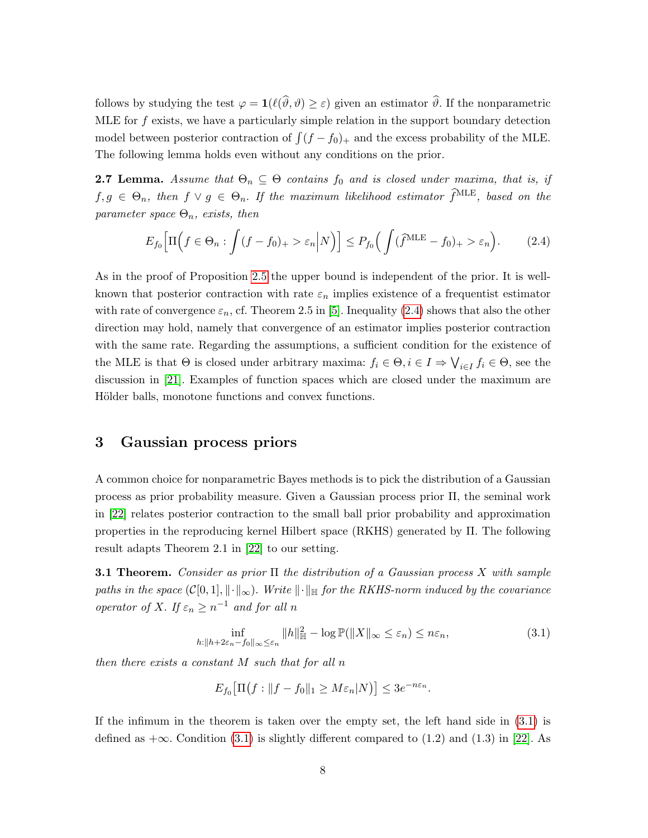follows by studying the test  $\varphi = \mathbf{1}(\ell(\widehat{\vartheta}, \vartheta) \geq \varepsilon)$  given an estimator  $\widehat{\vartheta}$ . If the nonparametric MLE for  $f$  exists, we have a particularly simple relation in the support boundary detection model between posterior contraction of  $\int (f - f_0)_+$  and the excess probability of the MLE. The following lemma holds even without any conditions on the prior.

<span id="page-7-4"></span>**2.7 Lemma.** Assume that  $\Theta_n \subseteq \Theta$  contains  $f_0$  and is closed under maxima, that is, if  $f, g \in \Theta_n$ , then  $f \vee g \in \Theta_n$ . If the maximum likelihood estimator  $\widehat{f}^{\text{MLE}}$ , based on the parameter space  $\Theta_n$ , exists, then

<span id="page-7-1"></span>
$$
E_{f_0}\Big[\Pi\Big(f\in\Theta_n:\int(f-f_0)_+>\varepsilon_n\Big|N\Big)\Big]\le P_{f_0}\Big(\int(\widehat{f}^{\text{MLE}}-f_0)_+>\varepsilon_n\Big). \tag{2.4}
$$

As in the proof of Proposition [2.5](#page-6-1) the upper bound is independent of the prior. It is wellknown that posterior contraction with rate  $\varepsilon_n$  implies existence of a frequentist estimator with rate of convergence  $\varepsilon_n$ , cf. Theorem 2.5 in [\[5\]](#page-21-0). Inequality [\(2.4\)](#page-7-1) shows that also the other direction may hold, namely that convergence of an estimator implies posterior contraction with the same rate. Regarding the assumptions, a sufficient condition for the existence of the MLE is that  $\Theta$  is closed under arbitrary maxima:  $f_i \in \Theta, i \in I \Rightarrow \bigvee_{i \in I} f_i \in \Theta$ , see the discussion in [\[21\]](#page-23-1). Examples of function spaces which are closed under the maximum are Hölder balls, monotone functions and convex functions.

## <span id="page-7-0"></span>3 Gaussian process priors

A common choice for nonparametric Bayes methods is to pick the distribution of a Gaussian process as prior probability measure. Given a Gaussian process prior Π, the seminal work in [\[22\]](#page-23-0) relates posterior contraction to the small ball prior probability and approximation properties in the reproducing kernel Hilbert space (RKHS) generated by Π. The following result adapts Theorem 2.1 in [\[22\]](#page-23-0) to our setting.

<span id="page-7-3"></span>**3.1 Theorem.** Consider as prior  $\Pi$  the distribution of a Gaussian process X with sample paths in the space  $(C[0,1], \|\cdot\|_{\infty})$ . Write  $\|\cdot\|_{\mathbb{H}}$  for the RKHS-norm induced by the covariance operator of X. If  $\varepsilon_n \geq n^{-1}$  and for all n

$$
\inf_{h:\|h+2\varepsilon_n-f_0\|_{\infty}\leq\varepsilon_n} \|h\|_{\mathbb{H}}^2 - \log \mathbb{P}(\|X\|_{\infty}\leq\varepsilon_n) \leq n\varepsilon_n,\tag{3.1}
$$

then there exists a constant M such that for all n

<span id="page-7-2"></span>
$$
E_{f_0}\big[\Pi(f: \|f - f_0\|_1 \ge M\varepsilon_n|N]\big] \le 3e^{-n\varepsilon_n}.
$$

If the infimum in the theorem is taken over the empty set, the left hand side in [\(3.1\)](#page-7-2) is defined as  $+\infty$ . Condition [\(3.1\)](#page-7-2) is slightly different compared to (1.2) and (1.3) in [\[22\]](#page-23-0). As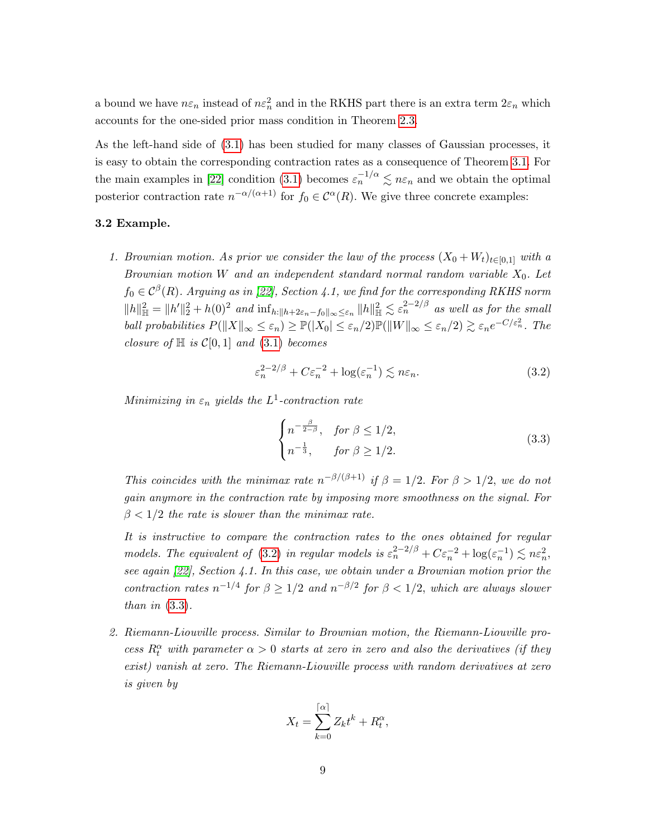a bound we have  $n\varepsilon_n$  instead of  $n\varepsilon_n^2$  and in the RKHS part there is an extra term  $2\varepsilon_n$  which accounts for the one-sided prior mass condition in Theorem [2.3.](#page-4-1)

As the left-hand side of [\(3.1\)](#page-7-2) has been studied for many classes of Gaussian processes, it is easy to obtain the corresponding contraction rates as a consequence of Theorem [3.1.](#page-7-3) For the main examples in [\[22\]](#page-23-0) condition [\(3.1\)](#page-7-2) becomes  $\varepsilon_n^{-1/\alpha} \lesssim n\varepsilon_n$  and we obtain the optimal posterior contraction rate  $n^{-\alpha/(\alpha+1)}$  for  $f_0 \in C^{\alpha}(R)$ . We give three concrete examples:

#### 3.2 Example.

1. Brownian motion. As prior we consider the law of the process  $(X_0 + W_t)_{t \in [0,1]}$  with a Brownian motion W and an independent standard normal random variable  $X_0$ . Let  $f_0 \in \mathcal{C}^{\beta}(R)$ . Arguing as in [\[22\]](#page-23-0), Section 4.1, we find for the corresponding RKHS norm  $||h||_{\mathbb{H}}^2 = ||h'||_2^2 + h(0)^2$  and  $\inf_{h:||h+2\varepsilon_n-f_0||_{\infty}\leq \varepsilon_n} ||h||_{\mathbb{H}}^2 \lesssim \varepsilon_n^{2-2/\beta}$  as well as for the small ball probabilities  $P(||X||_{\infty} \leq \varepsilon_n) \geq \mathbb{P}(|X_0| \leq \varepsilon_n/2) \mathbb{P}(||W||_{\infty} \leq \varepsilon_n/2) \gtrsim \varepsilon_n e^{-C/\varepsilon_n^2}$ . The closure of  $\mathbb H$  is  $\mathcal C[0,1]$  and  $(3.1)$  becomes

$$
\varepsilon_n^{2-2/\beta} + C \varepsilon_n^{-2} + \log(\varepsilon_n^{-1}) \lesssim n\varepsilon_n. \tag{3.2}
$$

Minimizing in  $\varepsilon_n$  yields the  $L^1$ -contraction rate

<span id="page-8-1"></span><span id="page-8-0"></span>
$$
\begin{cases}\nn^{-\frac{\beta}{2-\beta}}, & \text{for } \beta \le 1/2, \\
n^{-\frac{1}{3}}, & \text{for } \beta \ge 1/2.\n\end{cases} \tag{3.3}
$$

This coincides with the minimax rate  $n^{-\beta/(\beta+1)}$  if  $\beta = 1/2$ . For  $\beta > 1/2$ , we do not gain anymore in the contraction rate by imposing more smoothness on the signal. For  $\beta$  < 1/2 the rate is slower than the minimax rate.

It is instructive to compare the contraction rates to the ones obtained for regular models. The equivalent of [\(3.2\)](#page-8-0) in regular models is  $\varepsilon_n^{2-2/\beta} + C \varepsilon_n^{-2} + \log(\varepsilon_n^{-1}) \lesssim n\varepsilon_n^2$ , see again [\[22\]](#page-23-0), Section 4.1. In this case, we obtain under a Brownian motion prior the contraction rates  $n^{-1/4}$  for  $\beta \geq 1/2$  and  $n^{-\beta/2}$  for  $\beta < 1/2$ , which are always slower than in  $(3.3)$ .

2. Riemann-Liouville process. Similar to Brownian motion, the Riemann-Liouville process  $R_t^{\alpha}$  with parameter  $\alpha > 0$  starts at zero in zero and also the derivatives (if they exist) vanish at zero. The Riemann-Liouville process with random derivatives at zero is given by

$$
X_t = \sum_{k=0}^{\lceil \alpha \rceil} Z_k t^k + R_t^{\alpha},
$$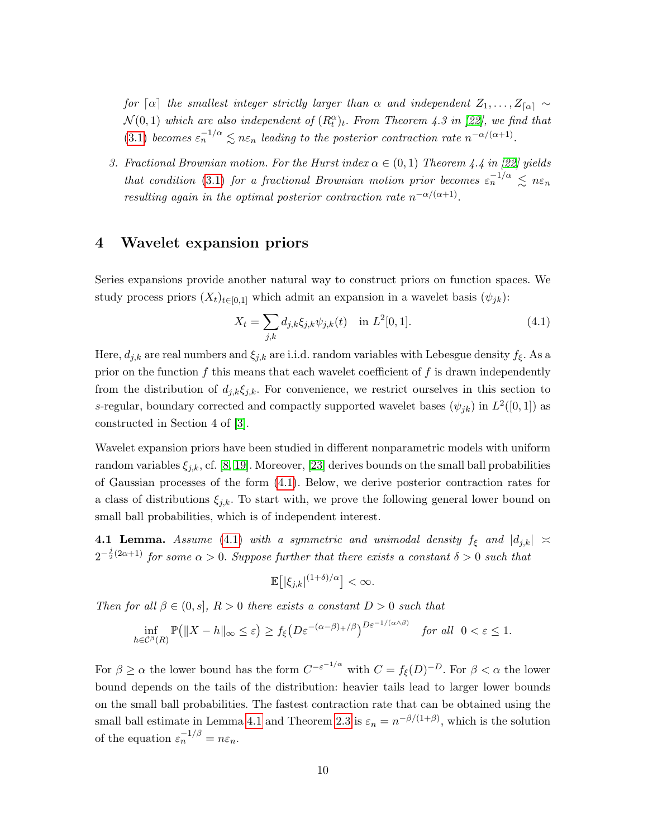for  $\lceil \alpha \rceil$  the smallest integer strictly larger than  $\alpha$  and independent  $Z_1, \ldots, Z_{\lceil \alpha \rceil} \sim$  $\mathcal{N}(0,1)$  which are also independent of  $(R_t^{\alpha})_t$ . From Theorem 4.3 in [\[22\]](#page-23-0), we find that [\(3.1\)](#page-7-2) becomes  $\varepsilon_n^{-1/\alpha} \lesssim n\varepsilon_n$  leading to the posterior contraction rate  $n^{-\alpha/(\alpha+1)}$ .

3. Fractional Brownian motion. For the Hurst index  $\alpha \in (0,1)$  Theorem 4.4 in [\[22\]](#page-23-0) yields that condition [\(3.1\)](#page-7-2) for a fractional Brownian motion prior becomes  $\varepsilon_n^{-1/\alpha} \leq n \varepsilon_n$ resulting again in the optimal posterior contraction rate  $n^{-\alpha/(\alpha+1)}$ .

## <span id="page-9-0"></span>4 Wavelet expansion priors

Series expansions provide another natural way to construct priors on function spaces. We study process priors  $(X_t)_{t\in[0,1]}$  which admit an expansion in a wavelet basis  $(\psi_{jk})$ :

<span id="page-9-1"></span>
$$
X_t = \sum_{j,k} d_{j,k} \xi_{j,k} \psi_{j,k}(t) \quad \text{in } L^2[0,1]. \tag{4.1}
$$

Here,  $d_{j,k}$  are real numbers and  $\xi_{j,k}$  are i.i.d. random variables with Lebesgue density  $f_{\xi}$ . As a prior on the function  $f$  this means that each wavelet coefficient of  $f$  is drawn independently from the distribution of  $d_{i,k}\xi_{i,k}$ . For convenience, we restrict ourselves in this section to s-regular, boundary corrected and compactly supported wavelet bases  $(\psi_{jk})$  in  $L^2([0,1])$  as constructed in Section 4 of [\[3\]](#page-21-3).

Wavelet expansion priors have been studied in different nonparametric models with uniform random variables  $\xi_{j,k}$ , cf. [\[8,](#page-22-9) [19\]](#page-22-10). Moreover, [\[23\]](#page-23-2) derives bounds on the small ball probabilities of Gaussian processes of the form [\(4.1\)](#page-9-1). Below, we derive posterior contraction rates for a class of distributions  $\xi_{j,k}$ . To start with, we prove the following general lower bound on small ball probabilities, which is of independent interest.

<span id="page-9-2"></span>**4.1 Lemma.** Assume [\(4.1\)](#page-9-1) with a symmetric and unimodal density  $f_{\xi}$  and  $|d_{j,k}| \ge$  $2^{-\frac{j}{2}(2\alpha+1)}$  for some  $\alpha > 0$ . Suppose further that there exists a constant  $\delta > 0$  such that

$$
\mathbb{E}\left[|\xi_{j,k}|^{(1+\delta)/\alpha}\right]<\infty.
$$

Then for all  $\beta \in (0, s]$ ,  $R > 0$  there exists a constant  $D > 0$  such that

$$
\inf_{h\in\mathcal{C}^{\beta}(R)}\mathbb{P}\big(\|X-h\|_{\infty}\leq\varepsilon\big)\geq f_{\xi}\big(D\varepsilon^{-(\alpha-\beta)+/\beta}\big)^{D\varepsilon^{-1/(\alpha\wedge\beta)}}\quad\text{for all}\;\;0<\varepsilon\leq 1.
$$

For  $\beta \ge \alpha$  the lower bound has the form  $C^{-\varepsilon^{-1/\alpha}}$  with  $C = f_{\xi}(D)^{-D}$ . For  $\beta < \alpha$  the lower bound depends on the tails of the distribution: heavier tails lead to larger lower bounds on the small ball probabilities. The fastest contraction rate that can be obtained using the small ball estimate in Lemma [4.1](#page-9-2) and Theorem [2.3](#page-4-1) is  $\varepsilon_n = n^{-\beta/(1+\beta)}$ , which is the solution of the equation  $\varepsilon_n^{-1/\beta} = n\varepsilon_n$ .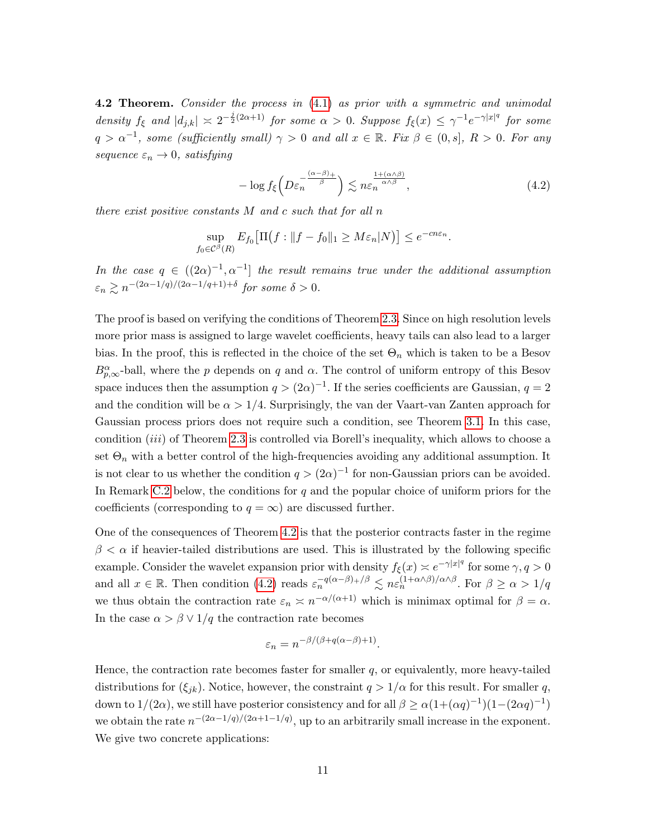<span id="page-10-0"></span>**4.2 Theorem.** Consider the process in  $(4.1)$  as prior with a symmetric and unimodal density  $f_{\xi}$  and  $|d_{j,k}| \leq 2^{-\frac{j}{2}(2\alpha+1)}$  for some  $\alpha > 0$ . Suppose  $f_{\xi}(x) \leq \gamma^{-1}e^{-\gamma|x|^{q}}$  for some  $q > \alpha^{-1}$ , some (sufficiently small)  $\gamma > 0$  and all  $x \in \mathbb{R}$ . Fix  $\beta \in (0, s]$ ,  $R > 0$ . For any sequence  $\varepsilon_n \to 0$ , satisfying

<span id="page-10-1"></span>
$$
-\log f_{\xi}\left(D\varepsilon_{n}^{-\frac{(\alpha-\beta)_{+}}{\beta}}\right) \lesssim n\varepsilon_{n}^{\frac{1+(\alpha\wedge\beta)}{\alpha\wedge\beta}},\tag{4.2}
$$

there exist positive constants M and c such that for all n

$$
\sup_{f_0 \in \mathcal{C}^{\beta}(R)} E_{f_0} \big[ \Pi(f : \|f - f_0\|_1 \ge M \varepsilon_n |N) \big] \le e^{-cn\varepsilon_n}.
$$

In the case  $q \in ((2\alpha)^{-1}, \alpha^{-1}]$  the result remains true under the additional assumption  $\varepsilon_n \gtrsim n^{-(2\alpha-1/q)/(2\alpha-1/q+1)+\delta}$  for some  $\delta > 0$ .

The proof is based on verifying the conditions of Theorem [2.3.](#page-4-1) Since on high resolution levels more prior mass is assigned to large wavelet coefficients, heavy tails can also lead to a larger bias. In the proof, this is reflected in the choice of the set  $\Theta_n$  which is taken to be a Besov  $B_{p,\infty}^{\alpha}$ -ball, where the p depends on q and  $\alpha$ . The control of uniform entropy of this Besov space induces then the assumption  $q > (2\alpha)^{-1}$ . If the series coefficients are Gaussian,  $q = 2$ and the condition will be  $\alpha > 1/4$ . Surprisingly, the van der Vaart-van Zanten approach for Gaussian process priors does not require such a condition, see Theorem [3.1.](#page-7-3) In this case, condition  $(iii)$  of Theorem [2.3](#page-4-1) is controlled via Borell's inequality, which allows to choose a set  $\Theta_n$  with a better control of the high-frequencies avoiding any additional assumption. It is not clear to us whether the condition  $q > (2\alpha)^{-1}$  for non-Gaussian priors can be avoided. In Remark [C.2](#page-20-0) below, the conditions for q and the popular choice of uniform priors for the coefficients (corresponding to  $q = \infty$ ) are discussed further.

One of the consequences of Theorem [4.2](#page-10-0) is that the posterior contracts faster in the regime  $\beta < \alpha$  if heavier-tailed distributions are used. This is illustrated by the following specific example. Consider the wavelet expansion prior with density  $f_{\xi}(x) \approx e^{-\gamma |x|^q}$  for some  $\gamma, q > 0$ and all  $x \in \mathbb{R}$ . Then condition [\(4.2\)](#page-10-1) reads  $\varepsilon_n^{-q(\alpha-\beta)+/\beta} \lesssim n \varepsilon_n^{(1+\alpha\wedge\beta)/\alpha\wedge\beta}$ . For  $\beta \geq \alpha > 1/q$ we thus obtain the contraction rate  $\varepsilon_n \asymp n^{-\alpha/(\alpha+1)}$  which is minimax optimal for  $\beta = \alpha$ . In the case  $\alpha > \beta \vee 1/q$  the contraction rate becomes

$$
\varepsilon_n = n^{-\beta/(\beta + q(\alpha - \beta) + 1)}.
$$

Hence, the contraction rate becomes faster for smaller  $q$ , or equivalently, more heavy-tailed distributions for  $(\xi_{jk})$ . Notice, however, the constraint  $q > 1/\alpha$  for this result. For smaller q, down to  $1/(2\alpha)$ , we still have posterior consistency and for all  $\beta \ge \alpha(1+(\alpha q)^{-1})(1-(2\alpha q)^{-1})$ we obtain the rate  $n^{-(2\alpha-1/q)/(2\alpha+1-1/q)}$ , up to an arbitrarily small increase in the exponent. We give two concrete applications: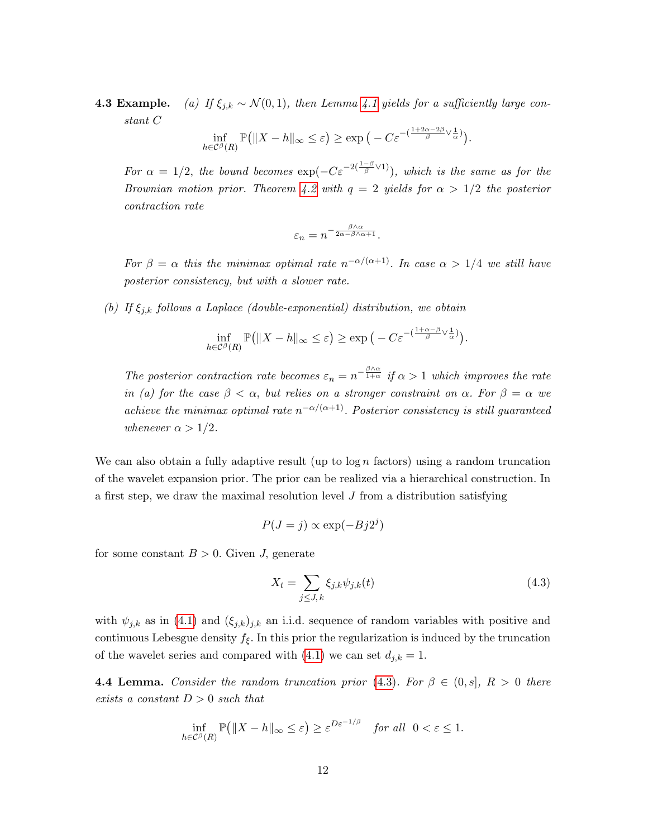**4.3 Example.** (a) If  $\xi_{j,k} \sim \mathcal{N}(0,1)$ , then Lemma [4.1](#page-9-2) yields for a sufficiently large constant C

$$
\inf_{h\in\mathcal{C}^{\beta}(R)}\mathbb{P}\big(\|X-h\|_{\infty}\leq\varepsilon\big)\geq\exp\big(-C\varepsilon^{-\left(\frac{1+2\alpha-2\beta}{\beta}\vee\frac{1}{\alpha}\right)}\big).
$$

For  $\alpha = 1/2$ , the bound becomes  $\exp(-C\varepsilon^{-2(\frac{1-\beta}{\beta}\vee 1)})$ , which is the same as for the Brownian motion prior. Theorem [4.2](#page-10-0) with  $q = 2$  yields for  $\alpha > 1/2$  the posterior contraction rate

$$
\varepsilon_n=n^{-\frac{\beta\wedge\alpha}{2\alpha-\beta\wedge\alpha+1}}.
$$

For  $\beta = \alpha$  this the minimax optimal rate  $n^{-\alpha/(\alpha+1)}$ . In case  $\alpha > 1/4$  we still have posterior consistency, but with a slower rate.

(b) If  $\xi_{j,k}$  follows a Laplace (double-exponential) distribution, we obtain

$$
\inf_{h\in\mathcal{C}^{\beta}(R)}\mathbb{P}(|X-h|_{\infty}\leq\varepsilon)\geq \exp\big(-C\varepsilon^{-\left(\frac{1+\alpha-\beta}{\beta}\vee\frac{1}{\alpha}\right)}\big).
$$

The posterior contraction rate becomes  $\varepsilon_n = n^{-\frac{\beta \wedge \alpha}{1 + \alpha}}$  if  $\alpha > 1$  which improves the rate in (a) for the case  $\beta < \alpha$ , but relies on a stronger constraint on  $\alpha$ . For  $\beta = \alpha$  we achieve the minimax optimal rate  $n^{-\alpha/(\alpha+1)}$ . Posterior consistency is still guaranteed whenever  $\alpha > 1/2$ .

We can also obtain a fully adaptive result (up to  $\log n$  factors) using a random truncation of the wavelet expansion prior. The prior can be realized via a hierarchical construction. In a first step, we draw the maximal resolution level  $J$  from a distribution satisfying

$$
P(J = j) \propto \exp(-Bj2^j)
$$

for some constant  $B > 0$ . Given J, generate

<span id="page-11-0"></span>
$$
X_t = \sum_{j \le J, k} \xi_{j,k} \psi_{j,k}(t) \tag{4.3}
$$

with  $\psi_{j,k}$  as in [\(4.1\)](#page-9-1) and  $(\xi_{j,k})_{j,k}$  an i.i.d. sequence of random variables with positive and continuous Lebesgue density  $f_{\xi}$ . In this prior the regularization is induced by the truncation of the wavelet series and compared with  $(4.1)$  we can set  $d_{j,k} = 1$ .

<span id="page-11-1"></span>**4.4 Lemma.** Consider the random truncation prior [\(4.3\)](#page-11-0). For  $\beta \in (0, s]$ ,  $R > 0$  there exists a constant  $D > 0$  such that

$$
\inf_{h\in\mathcal{C}^{\beta}(R)}\mathbb{P}\big(\|X-h\|_{\infty}\leq\varepsilon\big)\geq\varepsilon^{D\varepsilon^{-1/\beta}}\quad\text{for all}\;\;0<\varepsilon\leq 1.
$$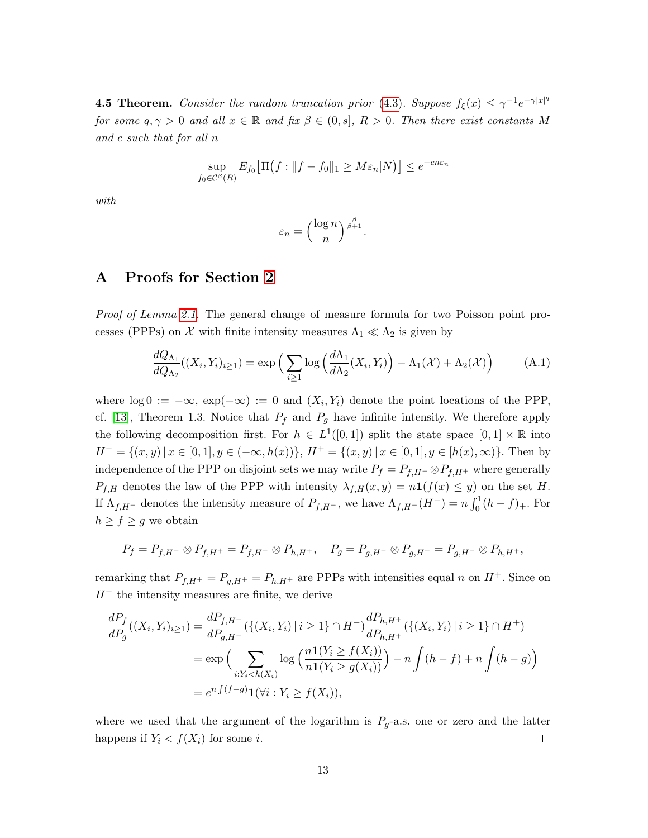<span id="page-12-1"></span>**4.5 Theorem.** Consider the random truncation prior [\(4.3\)](#page-11-0). Suppose  $f_{\xi}(x) \leq \gamma^{-1}e^{-\gamma|x|^{q}}$ for some  $q, \gamma > 0$  and all  $x \in \mathbb{R}$  and fix  $\beta \in (0, s]$ ,  $R > 0$ . Then there exist constants M and c such that for all n

$$
\sup_{f_0 \in \mathcal{C}^{\beta}(R)} E_{f_0} \big[ \Pi \big( f : \| f - f_0 \|_1 \ge M \varepsilon_n |N \big) \big] \le e^{-cn\varepsilon_n}
$$

with

<span id="page-12-0"></span>
$$
\varepsilon_n = \left(\frac{\log n}{n}\right)^{\frac{\beta}{\beta+1}}.
$$

## A Proofs for Section [2](#page-3-0)

Proof of Lemma [2.1.](#page-3-1) The general change of measure formula for two Poisson point processes (PPPs) on  $\mathcal X$  with finite intensity measures  $\Lambda_1 \ll \Lambda_2$  is given by

$$
\frac{dQ_{\Lambda_1}}{dQ_{\Lambda_2}}((X_i, Y_i)_{i \ge 1}) = \exp\left(\sum_{i \ge 1} \log\left(\frac{d\Lambda_1}{d\Lambda_2}(X_i, Y_i)\right) - \Lambda_1(\mathcal{X}) + \Lambda_2(\mathcal{X})\right) \tag{A.1}
$$

where  $\log 0 := -\infty$ ,  $\exp(-\infty) := 0$  and  $(X_i, Y_i)$  denote the point locations of the PPP, cf. [\[13\]](#page-22-11), Theorem 1.3. Notice that  $P_f$  and  $P_g$  have infinite intensity. We therefore apply the following decomposition first. For  $h \in L^1([0,1])$  split the state space  $[0,1] \times \mathbb{R}$  into  $H^- = \{(x, y) \mid x \in [0, 1], y \in (-\infty, h(x))\}, H^+ = \{(x, y) \mid x \in [0, 1], y \in [h(x), \infty)\}.$  Then by independence of the PPP on disjoint sets we may write  $P_f = P_{f,H}$ - $\otimes P_{f,H^+}$  where generally  $P_{f,H}$  denotes the law of the PPP with intensity  $\lambda_{f,H}(x,y) = n \mathbf{1}(f(x) \leq y)$  on the set H. If  $\Lambda_{f,H}$ - denotes the intensity measure of  $P_{f,H}$ -, we have  $\Lambda_{f,H}$ - $(H^-) = n \int_0^1 (h - f)_+$ . For  $h \ge f \ge g$  we obtain

$$
P_f = P_{f,H^-} \otimes P_{f,H^+} = P_{f,H^-} \otimes P_{h,H^+}, \quad P_g = P_{g,H^-} \otimes P_{g,H^+} = P_{g,H^-} \otimes P_{h,H^+},
$$

remarking that  $P_{f,H^+} = P_{g,H^+} = P_{h,H^+}$  are PPPs with intensities equal n on  $H^+$ . Since on  $H^-$  the intensity measures are finite, we derive

$$
\frac{dP_f}{dP_g}((X_i, Y_i)_{i \ge 1}) = \frac{dP_{f, H^-}}{dP_{g, H^-}}(\{(X_i, Y_i) | i \ge 1\} \cap H^-) \frac{dP_{h, H^+}}{dP_{h, H^+}}(\{(X_i, Y_i) | i \ge 1\} \cap H^+)
$$
  
= 
$$
\exp\Big(\sum_{i: Y_i < h(X_i)} \log\Big(\frac{n\mathbf{1}(Y_i \ge f(X_i))}{n\mathbf{1}(Y_i \ge g(X_i))}\Big) - n \int (h - f) + n \int (h - g) \Big)
$$
  
= 
$$
e^{n \int (f - g)} \mathbf{1}(\forall i : Y_i \ge f(X_i)),
$$

where we used that the argument of the logarithm is  $P_g$ -a.s. one or zero and the latter happens if  $Y_i < f(X_i)$  for some i.  $\Box$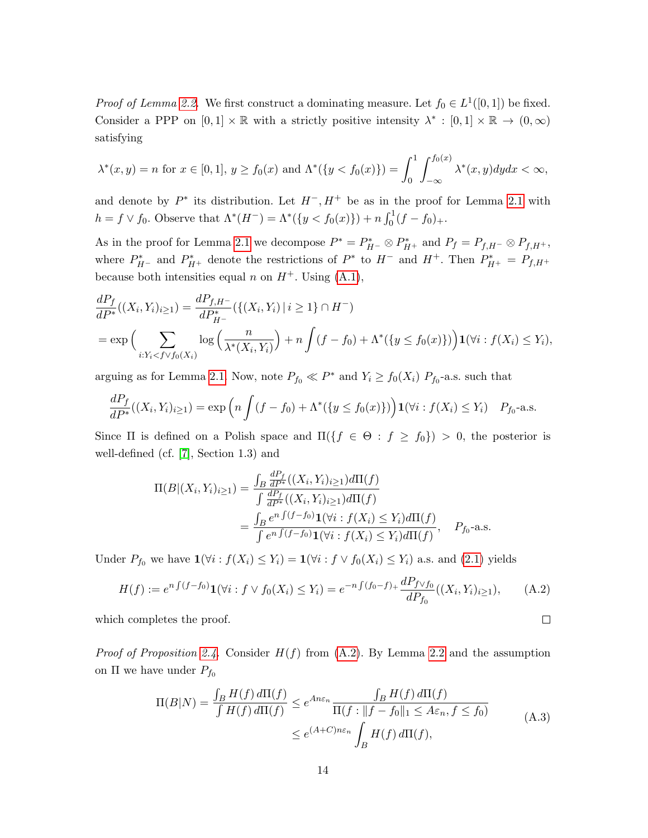*Proof of Lemma [2.2.](#page-4-2)* We first construct a dominating measure. Let  $f_0 \in L^1([0,1])$  be fixed. Consider a PPP on  $[0,1] \times \mathbb{R}$  with a strictly positive intensity  $\lambda^* : [0,1] \times \mathbb{R} \to (0,\infty)$ satisfying

$$
\lambda^*(x, y) = n \text{ for } x \in [0, 1], y \ge f_0(x) \text{ and } \Lambda^*(\{y < f_0(x)\}) = \int_0^1 \int_{-\infty}^{f_0(x)} \lambda^*(x, y) dy dx < \infty,
$$

and denote by  $P^*$  its distribution. Let  $H^-, H^+$  be as in the proof for Lemma [2.1](#page-3-1) with  $h = f \vee f_0$ . Observe that  $\Lambda^*(H^-) = \Lambda^*(\{y < f_0(x)\}) + n \int_0^1 (f - f_0)_+.$ 

As in the proof for Lemma [2.1](#page-3-1) we decompose  $P^* = P_{H^-}^* \otimes P_{H^+}^*$  and  $P_f = P_{f,H^-} \otimes P_{f,H^+}$ , where  $P_{H-}^*$  and  $P_{H+}^*$  denote the restrictions of  $P^*$  to  $H^-$  and  $H^+$ . Then  $P_{H+}^* = P_{f,H+}$ because both intensities equal n on  $H^+$ . Using  $(A.1)$ ,

$$
\frac{dP_f}{dP^*}((X_i, Y_i)_{i \ge 1}) = \frac{dP_{f, H^-}}{dP^*_{H^-}}(\{(X_i, Y_i) \mid i \ge 1\} \cap H^-)
$$
\n
$$
= \exp\Big(\sum_{i: Y_i < f \lor f_0(X_i)} \log\Big(\frac{n}{\lambda^*(X_i, Y_i)}\Big) + n \int (f - f_0) + \Lambda^*(\{y \le f_0(x)\})\Big) \mathbf{1}(\forall i : f(X_i) \le Y_i),
$$

arguing as for Lemma [2.1.](#page-3-1) Now, note  $P_{f_0} \ll P^*$  and  $Y_i \ge f_0(X_i)$   $P_{f_0}$ -a.s. such that

$$
\frac{dP_f}{dP^*}((X_i, Y_i)_{i \ge 1}) = \exp\left(n \int (f - f_0) + \Lambda^*(\{y \le f_0(x)\})\right) \mathbf{1}(\forall i : f(X_i) \le Y_i) \quad P_{f_0}\text{-a.s.}
$$

Since Π is defined on a Polish space and  $\Pi({f \in \Theta : f \ge f_0}) > 0$ , the posterior is well-defined (cf. [\[7\]](#page-22-12), Section 1.3) and

$$
\Pi(B|(X_i, Y_i)_{i \ge 1}) = \frac{\int_B \frac{dP_f}{dP^*}((X_i, Y_i)_{i \ge 1})d\Pi(f)}{\int \frac{dP_f}{dP^*}((X_i, Y_i)_{i \ge 1})d\Pi(f)} \n= \frac{\int_B e^{nf(f-f_0)} \mathbf{1}(\forall i : f(X_i) \le Y_i)d\Pi(f)}{\int e^{nf(f-f_0)} \mathbf{1}(\forall i : f(X_i) \le Y_i)d\Pi(f)}, \quad P_{f_0} \text{-a.s.}
$$

Under  $P_{f_0}$  we have  $\mathbf{1}(\forall i : f(X_i) \leq Y_i) = \mathbf{1}(\forall i : f \vee f_0(X_i) \leq Y_i)$  a.s. and [\(2.1\)](#page-3-2) yields

$$
H(f) := e^{n \int (f - f_0)} \mathbf{1}(\forall i : f \lor f_0(X_i) \le Y_i) = e^{-n \int (f_0 - f)_+} \frac{dP_{f \lor f_0}}{dP_{f_0}}((X_i, Y_i)_{i \ge 1}), \tag{A.2}
$$

which completes the proof.

*Proof of Proposition [2.4.](#page-5-0)* Consider  $H(f)$  from [\(A.2\)](#page-13-0). By Lemma [2.2](#page-4-2) and the assumption on  $\Pi$  we have under  $P_{f_0}$ 

$$
\Pi(B|N) = \frac{\int_B H(f) d\Pi(f)}{\int H(f) d\Pi(f)} \le e^{An\varepsilon_n} \frac{\int_B H(f) d\Pi(f)}{\Pi(f : ||f - f_0||_1 \le A\varepsilon_n, f \le f_0)}
$$
\n
$$
\le e^{(A+C)n\varepsilon_n} \int_B H(f) d\Pi(f), \tag{A.3}
$$

<span id="page-13-1"></span><span id="page-13-0"></span> $\Box$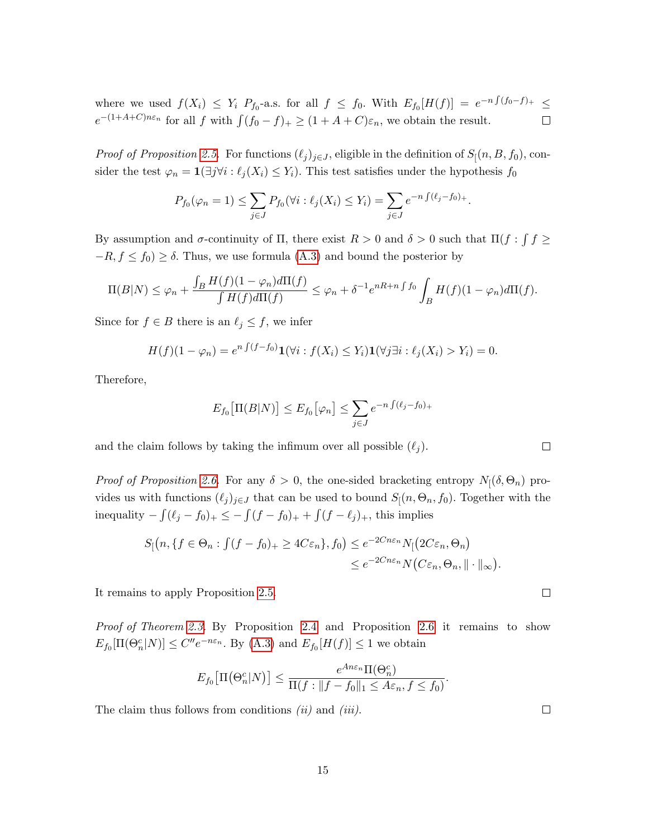where we used  $f(X_i) \leq Y_i$   $P_{f_0}$ -a.s. for all  $f \leq f_0$ . With  $E_{f_0}[H(f)] = e^{-n\int (f_0-f)_+} \leq$  $e^{-(1+A+C)n\varepsilon_n}$  for all f with  $\int (f_0 - f)_+ \ge (1 + A + C)\varepsilon_n$ , we obtain the result.  $\Box$ 

*Proof of Proposition [2.5.](#page-6-1)* For functions  $(\ell_j)_{j\in J}$ , eligible in the definition of  $S[(n, B, f_0)$ , consider the test  $\varphi_n = \mathbf{1}(\exists j \forall i : \ell_j(X_i) \leq Y_i)$ . This test satisfies under the hypothesis  $f_0$ 

$$
P_{f_0}(\varphi_n = 1) \le \sum_{j \in J} P_{f_0}(\forall i : \ell_j(X_i) \le Y_i) = \sum_{j \in J} e^{-n \int (\ell_j - f_0)_+}.
$$

By assumption and  $\sigma$ -continuity of  $\Pi$ , there exist  $R > 0$  and  $\delta > 0$  such that  $\Pi(f : \int f \geq 0)$  $-R, f \leq f_0$ ) ≥  $\delta$ . Thus, we use formula [\(A.3\)](#page-13-1) and bound the posterior by

$$
\Pi(B|N) \leq \varphi_n + \frac{\int_B H(f)(1-\varphi_n)d\Pi(f)}{\int H(f)d\Pi(f)} \leq \varphi_n + \delta^{-1}e^{nR+n\int f_0} \int_B H(f)(1-\varphi_n)d\Pi(f).
$$

Since for  $f \in B$  there is an  $\ell_j \leq f$ , we infer

$$
H(f)(1-\varphi_n)=e^{n\int (f-f_0)}\mathbf{1}(\forall i: f(X_i)\leq Y_i)\mathbf{1}(\forall j\exists i:\ell_j(X_i)>Y_i)=0.
$$

Therefore,

$$
E_{f_0}\big[\Pi(B|N)\big] \le E_{f_0}\big[\varphi_n\big] \le \sum_{j\in J} e^{-n\int (\ell_j - f_0)_+}
$$

and the claim follows by taking the infimum over all possible  $(\ell_j)$ .

*Proof of Proposition [2.6.](#page-6-0)* For any  $\delta > 0$ , the one-sided bracketing entropy  $N_1(\delta, \Theta_n)$  provides us with functions  $(\ell_j)_{j\in J}$  that can be used to bound  $S_1(n, \Theta_n, f_0)$ . Together with the inequality  $-\int (\ell_j - f_0)_+ \leq -\int (f - f_0)_+ + \int (f - \ell_j)_+$ , this implies

$$
S[(n, \{f \in \Theta_n : \int (f - f_0)_+ \ge 4C\varepsilon_n\}, f_0] \le e^{-2Cn\varepsilon_n} N[(2C\varepsilon_n, \Theta_n)] \le e^{-2Cn\varepsilon_n} N(C\varepsilon_n, \Theta_n, \|\cdot\|_{\infty}).
$$

It remains to apply Proposition [2.5.](#page-6-1)

Proof of Theorem [2.3.](#page-4-1) By Proposition [2.4](#page-5-0) and Proposition [2.6](#page-6-0) it remains to show  $E_{f_0}[\Pi(\Theta_n^c|N)] \leq C'' e^{-n\varepsilon_n}$ . By [\(A.3\)](#page-13-1) and  $E_{f_0}[H(f)] \leq 1$  we obtain

$$
E_{f_0}\big[\Pi(\Theta_n^c|N)\big] \le \frac{e^{An\varepsilon_n}\Pi(\Theta_n^c)}{\Pi(f:||f-f_0||_1 \le A\varepsilon_n, f \le f_0)}.
$$

The claim thus follows from conditions  $(ii)$  and  $(iii)$ .

 $\Box$ 

 $\Box$ 

 $\Box$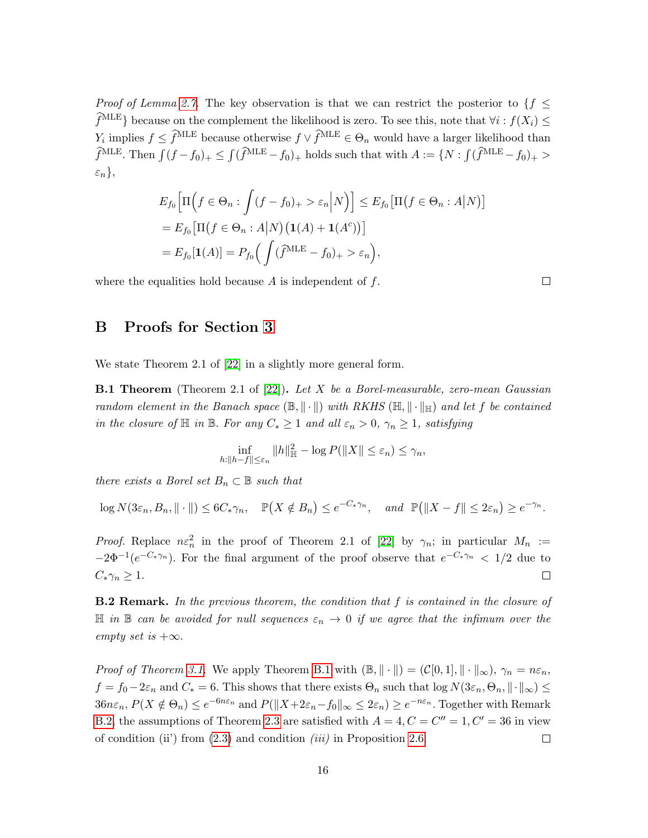*Proof of Lemma [2.7.](#page-7-4)* The key observation is that we can restrict the posterior to  $\{f \leq f\}$  $\widehat{f}^{\text{MLE}}$ } because on the complement the likelihood is zero. To see this, note that  $\forall i : f(X_i) \leq$  $Y_i$  implies  $f \leq \hat{f}^{\text{MLE}}$  because otherwise  $f \vee \hat{f}^{\text{MLE}} \in \Theta_n$  would have a larger likelihood than  $\hat{f}^{\text{MLE}}$ . Then  $\int (f - f_0)_+ \leq \int (\hat{f}^{\text{MLE}} - f_0)_+$  holds such that with  $A := \{N : \int (\hat{f}^{\text{MLE}} - f_0)_+ >$  $\varepsilon_n\},\$ 

$$
E_{f_0}\Big[\Pi\Big(f\in\Theta_n:\int(f-f_0)_+>\varepsilon_n\Big|N\Big)\Big]\leq E_{f_0}\big[\Pi\big(f\in\Theta_n:A\big|N\big)\big]
$$
  
=  $E_{f_0}\big[\Pi\big(f\in\Theta_n:A\big|N\big)\big(\mathbf{1}(A)+\mathbf{1}(A^c)\big)\big]$   
=  $E_{f_0}\big[\mathbf{1}(A)\big]=P_{f_0}\Big(\int(\widehat{f}^{MLE}-f_0)_+>\varepsilon_n\Big),$ 

where the equalities hold because  $A$  is independent of  $f$ .

 $\Box$ 

# B Proofs for Section [3](#page-7-0)

We state Theorem 2.1 of [\[22\]](#page-23-0) in a slightly more general form.

<span id="page-15-0"></span>**B.1 Theorem** (Theorem 2.1 of [\[22\]](#page-23-0)). Let X be a Borel-measurable, zero-mean Gaussian random element in the Banach space  $(\mathbb{B}, \|\cdot\|)$  with RKHS  $(\mathbb{H}, \|\cdot\|_{\mathbb{H}})$  and let f be contained in the closure of  $\mathbb H$  in  $\mathbb B$ . For any  $C_* \geq 1$  and all  $\varepsilon_n > 0$ ,  $\gamma_n \geq 1$ , satisfying

$$
\inf_{h:\|h-f\|\leq \varepsilon_n} \|h\|_{\mathbb{H}}^2 - \log P(\|X\| \leq \varepsilon_n) \leq \gamma_n,
$$

there exists a Borel set  $B_n \subset \mathbb{B}$  such that

 $\log N(3\varepsilon_n, B_n, \|\cdot\|) \leq 6C_*\gamma_n, \quad \mathbb{P}(X \notin B_n) \leq e^{-C_*\gamma_n}, \quad \text{and} \quad \mathbb{P}(\|X - f\| \leq 2\varepsilon_n) \geq e^{-\gamma_n}.$ 

*Proof.* Replace  $n\epsilon_n^2$  in the proof of Theorem 2.1 of [\[22\]](#page-23-0) by  $\gamma_n$ ; in particular  $M_n :=$  $-2\Phi^{-1}(e^{-C_*\gamma_n})$ . For the final argument of the proof observe that  $e^{-C_*\gamma_n} < 1/2$  due to  $C_*\gamma_n\geq 1.$  $\Box$ 

<span id="page-15-1"></span>**B.2 Remark.** In the previous theorem, the condition that  $f$  is contained in the closure of  $\mathbb H$  in  $\mathbb B$  can be avoided for null sequences  $\varepsilon_n \to 0$  if we agree that the infimum over the empty set is  $+\infty$ .

*Proof of Theorem [3.1.](#page-7-3)* We apply Theorem [B.1](#page-15-0) with  $(\mathbb{B}, \|\cdot\|) = (\mathcal{C}[0, 1], \|\cdot\|_{\infty}), \gamma_n = n \varepsilon_n$ ,  $f = f_0 - 2\varepsilon_n$  and  $C_* = 6$ . This shows that there exists  $\Theta_n$  such that  $\log N(3\varepsilon_n, \Theta_n, \|\cdot\|_{\infty}) \le$  $36n\varepsilon_n, P(X \notin \Theta_n) \le e^{-6n\varepsilon_n}$  and  $P(||X + 2\varepsilon_n - f_0||_{\infty} \le 2\varepsilon_n) \ge e^{-n\varepsilon_n}$ . Together with Remark [B.2,](#page-15-1) the assumptions of Theorem [2.3](#page-4-1) are satisfied with  $A = 4, C = C'' = 1, C' = 36$  in view of condition (ii) from  $(2.3)$  and condition *(iii)* in Proposition [2.6.](#page-6-0)  $\Box$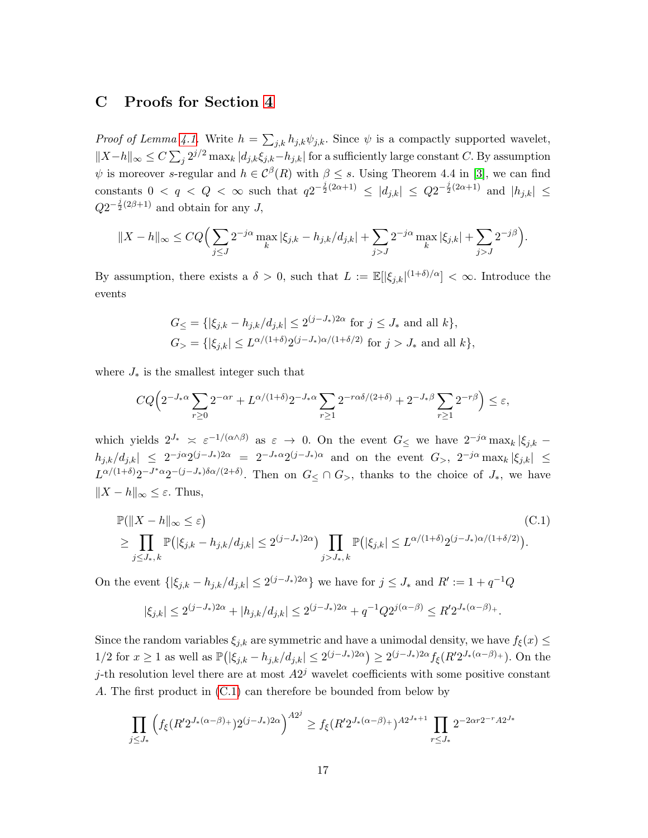## C Proofs for Section [4](#page-9-0)

*Proof of Lemma [4.1.](#page-9-2)* Write  $h = \sum_{j,k} h_{j,k} \psi_{j,k}$ . Since  $\psi$  is a compactly supported wavelet,  $||X-h||_{\infty} \leq C \sum_{j} 2^{j/2} \max_{k} |d_{j,k} \xi_{j,k}-h_{j,k}|$  for a sufficiently large constant C. By assumption  $\psi$  is moreover s-regular and  $h \in \mathcal{C}^{\beta}(R)$  with  $\beta \leq s$ . Using Theorem 4.4 in [\[3\]](#page-21-3), we can find constants  $0 < q < Q < \infty$  such that  $q2^{-\frac{j}{2}(2\alpha+1)} \leq |d_{j,k}| \leq Q2^{-\frac{j}{2}(2\alpha+1)}$  and  $|h_{j,k}| \leq$  $Q2^{-\frac{j}{2}(2\beta+1)}$  and obtain for any J,

$$
||X - h||_{\infty} \le CQ \Big( \sum_{j \le J} 2^{-j\alpha} \max_{k} |\xi_{j,k} - h_{j,k}/d_{j,k}| + \sum_{j > J} 2^{-j\alpha} \max_{k} |\xi_{j,k}| + \sum_{j > J} 2^{-j\beta} \Big).
$$

By assumption, there exists a  $\delta > 0$ , such that  $L := \mathbb{E}[|\xi_{j,k}|^{(1+\delta)/\alpha}] < \infty$ . Introduce the events

$$
G_{\leq} = \{ |\xi_{j,k} - h_{j,k}/d_{j,k}| \leq 2^{(j-J_*)2\alpha} \text{ for } j \leq J_* \text{ and all } k \},
$$
  

$$
G_{>} = \{ |\xi_{j,k}| \leq L^{\alpha/(1+\delta)} 2^{(j-J_*)\alpha/(1+\delta/2)} \text{ for } j > J_* \text{ and all } k \},
$$

where  $J_*$  is the smallest integer such that

$$
CQ\Big(2^{-J_{\ast}\alpha}\sum_{r\geq 0}2^{-\alpha r}+L^{\alpha/(1+\delta)}2^{-J_{\ast}\alpha}\sum_{r\geq 1}2^{-r\alpha\delta/(2+\delta)}+2^{-J_{\ast}\beta}\sum_{r\geq 1}2^{-r\beta}\Big)\leq \varepsilon,
$$

which yields  $2^{J_*} \leq \varepsilon^{-1/(\alpha \wedge \beta)}$  as  $\varepsilon \to 0$ . On the event  $G_{\leq}$  we have  $2^{-j\alpha} \max_k |\xi_{j,k} - \xi_{j,k}|$  $|h_{j,k}/d_{j,k}| \leq 2^{-j\alpha}2^{(j-J_*)2\alpha} = 2^{-J_*\alpha}2^{(j-J_*)\alpha}$  and on the event  $G_>, 2^{-j\alpha} \max_k |\xi_{j,k}| \leq$  $L^{\alpha/(1+\delta)}2^{-J^*\alpha}2^{-(j-J_*)\delta\alpha/(2+\delta)}$ . Then on  $G_{\leq}\cap G_{>}$ , thanks to the choice of  $J_*$ , we have  $||X - h||_{\infty} \leq \varepsilon$ . Thus,

$$
\mathbb{P}(\|X - h\|_{\infty} \leq \varepsilon)
$$
\n
$$
\geq \prod_{j \leq J_*,k} \mathbb{P}(|\xi_{j,k} - h_{j,k}/d_{j,k}| \leq 2^{(j-J_*)2\alpha}) \prod_{j>J_*,k} \mathbb{P}(|\xi_{j,k}| \leq L^{\alpha/(1+\delta)} 2^{(j-J_*)\alpha/(1+\delta/2)}).
$$
\n(C.1)

On the event  $\{|\xi_{j,k} - h_{j,k}/d_{j,k}| \leq 2^{(j-J_*)2\alpha}\}\$  we have for  $j \leq J_*$  and  $R' := 1 + q^{-1}Q$ 

<span id="page-16-0"></span>
$$
|\xi_{j,k}| \le 2^{(j-J_*)2\alpha} + |h_{j,k}/d_{j,k}| \le 2^{(j-J_*)2\alpha} + q^{-1}Q2^{j(\alpha-\beta)} \le R'2^{J_*(\alpha-\beta)}.
$$

Since the random variables  $\xi_{j,k}$  are symmetric and have a unimodal density, we have  $f_{\xi}(x) \leq$  $1/2$  for  $x \ge 1$  as well as  $\mathbb{P}(|\xi_{j,k} - h_{j,k}/d_{j,k}| \le 2^{(j-J_*)2\alpha}) \ge 2^{(j-J_*)2\alpha} f_{\xi}(R'2^{J_*(\alpha-\beta)+})$ . On the j-th resolution level there are at most  $A2<sup>j</sup>$  wavelet coefficients with some positive constant A. The first product in [\(C.1\)](#page-16-0) can therefore be bounded from below by

$$
\prod_{j\leq J_*} \left( f_{\xi} (R' 2^{J_*(\alpha-\beta)_+}) 2^{(j-J_*)2\alpha} \right)^{A2^j} \geq f_{\xi} (R' 2^{J_*(\alpha-\beta)_+})^{A2^{J_*+1}} \prod_{r\leq J_*} 2^{-2\alpha r 2^{-r} A2^{J_*}}
$$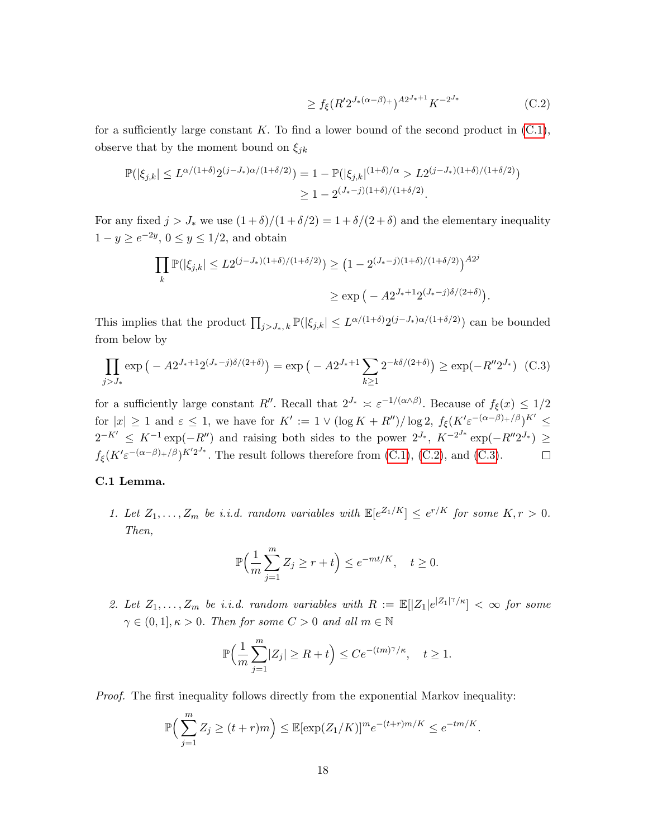<span id="page-17-1"></span><span id="page-17-0"></span>
$$
\geq f_{\xi}(R'2^{J_{*}(\alpha-\beta)_{+}})^{A2^{J_{*}+1}}K^{-2^{J_{*}}} \tag{C.2}
$$

for a sufficiently large constant K. To find a lower bound of the second product in  $(C.1)$ , observe that by the moment bound on  $\xi_{jk}$ 

$$
\mathbb{P}(|\xi_{j,k}| \le L^{\alpha/(1+\delta)} 2^{(j-J_*)\alpha/(1+\delta/2)}) = 1 - \mathbb{P}(|\xi_{j,k}|^{(1+\delta)/\alpha} > L 2^{(j-J_*)(1+\delta)/(1+\delta/2)})
$$
  
\n
$$
\ge 1 - 2^{(J_*-j)(1+\delta)/(1+\delta/2)}.
$$

For any fixed  $j > J_*$  we use  $(1 + \delta)/(1 + \delta/2) = 1 + \delta/(2 + \delta)$  and the elementary inequality  $1 - y \ge e^{-2y}, 0 \le y \le 1/2$ , and obtain

$$
\prod_{k} \mathbb{P}(|\xi_{j,k}| \le L2^{(j-J_*)(1+\delta)/(1+\delta/2)}) \ge (1 - 2^{(J_*-j)(1+\delta)/(1+\delta/2)})^{A2^j}
$$
  

$$
\ge \exp(-A2^{J_*+1}2^{(J_*-j)\delta/(2+\delta)}).
$$

This implies that the product  $\prod_{j>J_*, k} \mathbb{P}(|\xi_{j,k}| \leq L^{\alpha/(1+\delta)} 2^{(j-J_*)\alpha/(1+\delta/2)})$  can be bounded from below by

$$
\prod_{j>J_*} \exp\left(-A2^{J_*+1}2^{(J_*-j)\delta/(2+\delta)}\right) = \exp\left(-A2^{J_*+1}\sum_{k\geq 1} 2^{-k\delta/(2+\delta)}\right) \geq \exp(-R''2^{J_*}) \quad \text{(C.3)}
$$

for a sufficiently large constant R''. Recall that  $2^{J_*} \approx \varepsilon^{-1/(\alpha \wedge \beta)}$ . Because of  $f_{\xi}(x) \leq 1/2$ for  $|x| \geq 1$  and  $\varepsilon \leq 1$ , we have for  $K' := 1 \vee (\log K + R'') / \log 2$ ,  $f_{\xi}(K' \varepsilon^{-(\alpha-\beta)+/\beta})^{K'} \leq$  $2^{-K'} \leq K^{-1} \exp(-R'')$  and raising both sides to the power  $2^{J_*}, K^{-2^{J_*}} \exp(-R'' 2^{J_*}) \geq$  $f_{\xi}(K'\varepsilon^{-(\alpha-\beta)+/\beta})^{K'2^{J_*}}$ . The result follows therefore from [\(C.1\)](#page-16-0), [\(C.2\)](#page-17-0), and [\(C.3\)](#page-17-1).  $\Box$ 

## <span id="page-17-2"></span>C.1 Lemma.

1. Let  $Z_1, \ldots, Z_m$  be i.i.d. random variables with  $\mathbb{E}[e^{Z_1/K}] \leq e^{r/K}$  for some  $K, r > 0$ . Then,

$$
\mathbb{P}\Big(\frac{1}{m}\sum_{j=1}^m Z_j \ge r+t\Big) \le e^{-mt/K}, \quad t \ge 0.
$$

2. Let  $Z_1, \ldots, Z_m$  be i.i.d. random variables with  $R := \mathbb{E}[|Z_1|e^{|Z_1|\gamma}/\kappa] < \infty$  for some  $\gamma \in (0,1], \kappa > 0$ . Then for some  $C > 0$  and all  $m \in \mathbb{N}$ 

$$
\mathbb{P}\Big(\frac{1}{m}\sum_{j=1}^m |Z_j| \ge R+t\Big) \le Ce^{-(tm)^\gamma/\kappa}, \quad t \ge 1.
$$

Proof. The first inequality follows directly from the exponential Markov inequality:

$$
\mathbb{P}\Big(\sum_{j=1}^m Z_j \ge (t+r)m\Big) \le \mathbb{E}[\exp(Z_1/K)]^m e^{-(t+r)m/K} \le e^{-tm/K}.
$$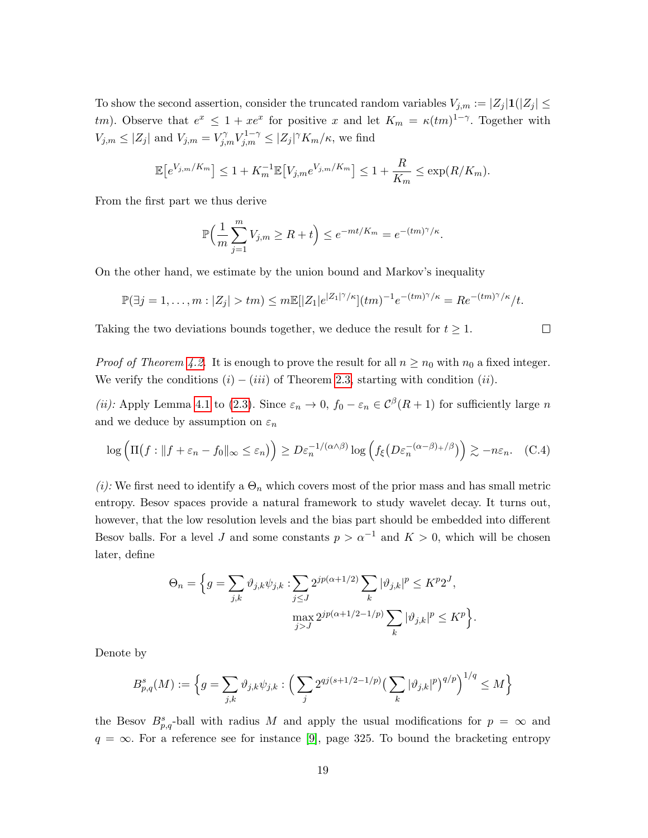To show the second assertion, consider the truncated random variables  $V_{j,m} := |Z_j| \mathbf{1}(|Z_j| \leq$ tm). Observe that  $e^x \leq 1 + xe^x$  for positive x and let  $K_m = \kappa (tm)^{1-\gamma}$ . Together with  $V_{j,m} \leq |Z_j|$  and  $V_{j,m} = V_{j,m}^{\gamma} V_{j,m}^{1-\gamma} \leq |Z_j|^{\gamma} K_m/\kappa$ , we find

$$
\mathbb{E}[e^{V_{j,m}/K_m}] \le 1 + K_m^{-1} \mathbb{E}[V_{j,m}e^{V_{j,m}/K_m}] \le 1 + \frac{R}{K_m} \le \exp(R/K_m).
$$

From the first part we thus derive

$$
\mathbb{P}\Big(\frac{1}{m}\sum_{j=1}^m V_{j,m} \ge R+t\Big) \le e^{-mt/K_m} = e^{-(tm)^{\gamma}/\kappa}.
$$

On the other hand, we estimate by the union bound and Markov's inequality

$$
\mathbb{P}(\exists j=1,\ldots,m:|Z_j|>tm)\leq m\mathbb{E}[|Z_1|e^{|Z_1|\gamma/\kappa}](tm)^{-1}e^{-(tm)\gamma/\kappa}=Re^{-(tm)\gamma/\kappa}/t.
$$

Taking the two deviations bounds together, we deduce the result for  $t \geq 1$ .

 $\Box$ 

*Proof of Theorem [4.2.](#page-10-0)* It is enough to prove the result for all  $n \ge n_0$  with  $n_0$  a fixed integer. We verify the conditions  $(i) - (iii)$  of Theorem [2.3,](#page-4-1) starting with condition  $(ii)$ .

(*ii*): Apply Lemma [4.1](#page-9-2) to [\(2.3\)](#page-5-1). Since  $\varepsilon_n \to 0$ ,  $f_0 - \varepsilon_n \in C^{\beta}(R+1)$  for sufficiently large *n* and we deduce by assumption on  $\varepsilon_n$ 

$$
\log\left(\Pi\big(f : \|f + \varepsilon_n - f_0\|_{\infty} \le \varepsilon_n\big)\right) \ge D\varepsilon_n^{-1/(\alpha \wedge \beta)} \log\left(f_\xi\big(D\varepsilon_n^{-(\alpha - \beta) + \beta}\big)\right) \gtrsim -n\varepsilon_n. \quad (C.4)
$$

(i): We first need to identify a  $\Theta_n$  which covers most of the prior mass and has small metric entropy. Besov spaces provide a natural framework to study wavelet decay. It turns out, however, that the low resolution levels and the bias part should be embedded into different Besov balls. For a level J and some constants  $p > \alpha^{-1}$  and  $K > 0$ , which will be chosen later, define

$$
\Theta_n = \Big\{ g = \sum_{j,k} \vartheta_{j,k} \psi_{j,k} : \sum_{j \le J} 2^{jp(\alpha+1/2)} \sum_k |\vartheta_{j,k}|^p \le K^p 2^J,
$$

$$
\max_{j>J} 2^{jp(\alpha+1/2-1/p)} \sum_k |\vartheta_{j,k}|^p \le K^p \Big\}.
$$

Denote by

$$
B_{p,q}^s(M) := \left\{ g = \sum_{j,k} \vartheta_{j,k} \psi_{j,k} : \left( \sum_j 2^{qj(s+1/2-1/p)} \left( \sum_k |\vartheta_{j,k}|^p \right)^{q/p} \right)^{1/q} \le M \right\}
$$

the Besov  $B_{p,q}^s$ -ball with radius M and apply the usual modifications for  $p = \infty$  and  $q = \infty$ . For a reference see for instance [\[9\]](#page-22-13), page 325. To bound the bracketing entropy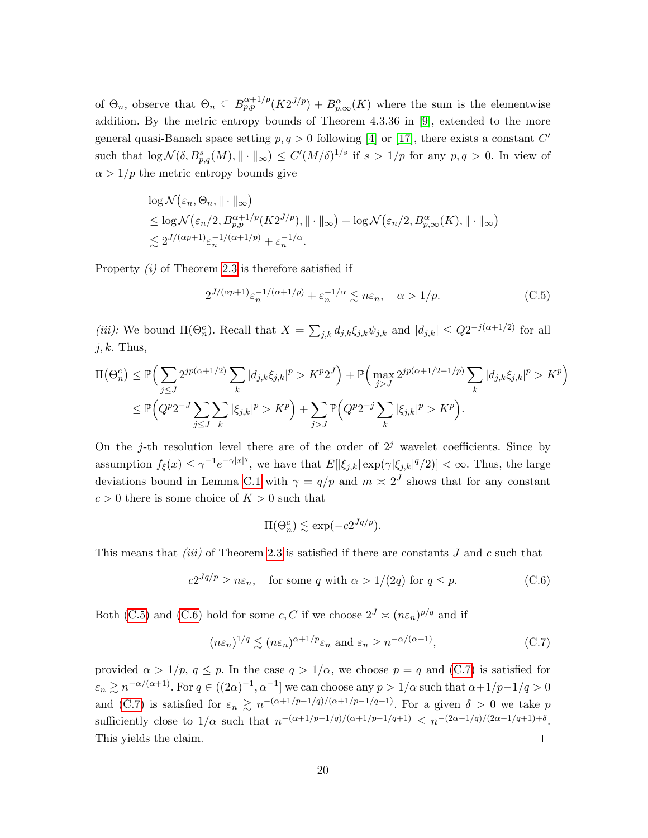of  $\Theta_n$ , observe that  $\Theta_n \subseteq B^{\alpha+1/p}_{p,p}(K2^{J/p}) + B^{\alpha}_{p,\infty}(K)$  where the sum is the elementwise addition. By the metric entropy bounds of Theorem 4.3.36 in [\[9\]](#page-22-13), extended to the more general quasi-Banach space setting  $p, q > 0$  following [\[4\]](#page-21-4) or [\[17\]](#page-22-14), there exists a constant C' such that  $\log \mathcal{N}(\delta, B_{p,q}^s(M), \|\cdot\|_{\infty}) \leq C'(M/\delta)^{1/s}$  if  $s > 1/p$  for any  $p, q > 0$ . In view of  $\alpha > 1/p$  the metric entropy bounds give

$$
\log \mathcal{N}(\varepsilon_n, \Theta_n, \|\cdot\|_{\infty})
$$
  
\n
$$
\leq \log \mathcal{N}(\varepsilon_n/2, B_{p,p}^{\alpha+1/p}(K2^{J/p}), \|\cdot\|_{\infty}) + \log \mathcal{N}(\varepsilon_n/2, B_{p,\infty}^{\alpha}(K), \|\cdot\|_{\infty})
$$
  
\n
$$
\lesssim 2^{J/(\alpha p+1)} \varepsilon_n^{-1/(\alpha+1/p)} + \varepsilon_n^{-1/\alpha}.
$$

Property (i) of Theorem [2.3](#page-4-1) is therefore satisfied if

<span id="page-19-0"></span>
$$
2^{J/(\alpha p+1)} \varepsilon_n^{-1/(\alpha+1/p)} + \varepsilon_n^{-1/\alpha} \lesssim n\varepsilon_n, \quad \alpha > 1/p. \tag{C.5}
$$

(iii): We bound  $\Pi(\Theta_n^c)$ . Recall that  $X = \sum_{j,k} d_{j,k} \xi_{j,k} \psi_{j,k}$  and  $|d_{j,k}| \leq Q 2^{-j(\alpha+1/2)}$  for all  $j, k$ . Thus,

$$
\Pi(\Theta_n^c) \leq \mathbb{P}\Big(\sum_{j\leq J} 2^{jp(\alpha+1/2)} \sum_k |d_{j,k}\xi_{j,k}|^p > K^p 2^J\Big) + \mathbb{P}\Big(\max_{j>J} 2^{jp(\alpha+1/2-1/p)} \sum_k |d_{j,k}\xi_{j,k}|^p > K^p\Big) \leq \mathbb{P}\Big(Q^p 2^{-J} \sum_{j\leq J} \sum_k |\xi_{j,k}|^p > K^p\Big) + \sum_{j>J} \mathbb{P}\Big(Q^p 2^{-j} \sum_k |\xi_{j,k}|^p > K^p\Big).
$$

On the j-th resolution level there are of the order of  $2<sup>j</sup>$  wavelet coefficients. Since by assumption  $f_{\xi}(x) \leq \gamma^{-1} e^{-\gamma |x|^q}$ , we have that  $E[|\xi_{j,k}| \exp(\gamma |\xi_{j,k}|^q/2)] < \infty$ . Thus, the large deviations bound in Lemma [C.1](#page-17-2) with  $\gamma = q/p$  and  $m \approx 2^J$  shows that for any constant  $c > 0$  there is some choice of  $K > 0$  such that

<span id="page-19-1"></span>
$$
\Pi(\Theta_n^c) \lesssim \exp(-c2^{Jq/p}).
$$

This means that *(iii)* of Theorem [2.3](#page-4-1) is satisfied if there are constants  $J$  and  $c$  such that

$$
c2^{Jq/p} \ge n\varepsilon_n
$$
, for some q with  $\alpha > 1/(2q)$  for  $q \le p$ . (C.6)

Both [\(C.5\)](#page-19-0) and [\(C.6\)](#page-19-1) hold for some c, C if we choose  $2^J \approx (n \varepsilon_n)^{p/q}$  and if

<span id="page-19-2"></span>
$$
(n\varepsilon_n)^{1/q} \lesssim (n\varepsilon_n)^{\alpha+1/p} \varepsilon_n \text{ and } \varepsilon_n \ge n^{-\alpha/(\alpha+1)},
$$
 (C.7)

provided  $\alpha > 1/p$ ,  $q \leq p$ . In the case  $q > 1/\alpha$ , we choose  $p = q$  and [\(C.7\)](#page-19-2) is satisfied for  $\varepsilon_n \gtrsim n^{-\alpha/(\alpha+1)}$ . For  $q \in ((2\alpha)^{-1}, \alpha^{-1}]$  we can choose any  $p > 1/\alpha$  such that  $\alpha + 1/p - 1/q > 0$ and [\(C.7\)](#page-19-2) is satisfied for  $\varepsilon_n \gtrsim n^{-(\alpha+1/p-1/q)/(\alpha+1/p-1/q+1)}$ . For a given  $\delta > 0$  we take p sufficiently close to  $1/\alpha$  such that  $n^{-(\alpha+1/p-1/q)/(\alpha+1/p-1/q+1)} \leq n^{-(2\alpha-1/q)/(2\alpha-1/q+1)+\delta}$ . This yields the claim.  $\Box$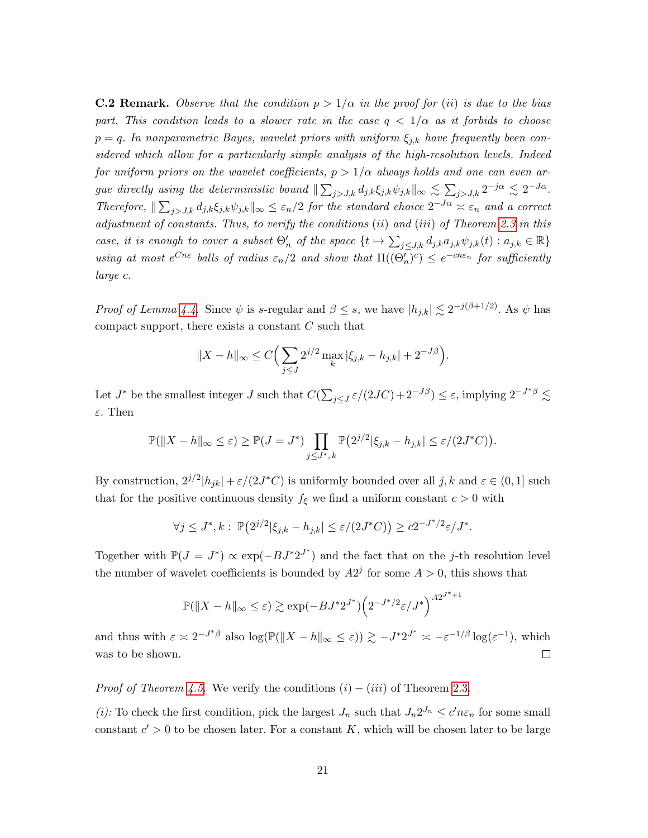<span id="page-20-0"></span>**C.2 Remark.** Observe that the condition  $p > 1/\alpha$  in the proof for (ii) is due to the bias part. This condition leads to a slower rate in the case  $q < 1/\alpha$  as it forbids to choose  $p = q$ . In nonparametric Bayes, wavelet priors with uniform  $\xi_{j,k}$  have frequently been considered which allow for a particularly simple analysis of the high-resolution levels. Indeed for uniform priors on the wavelet coefficients,  $p > 1/\alpha$  always holds and one can even argue directly using the deterministic bound  $\|\sum_{j>J,k} d_{j,k} \xi_{j,k} \psi_{j,k}\|_{\infty} \lesssim \sum_{j>J,k} 2^{-j\alpha} \lesssim 2^{-J\alpha}$ . Therefore,  $\|\sum_{j>J,k} d_{j,k} \xi_{j,k} \psi_{j,k}\|_{\infty} \leq \varepsilon_n/2$  for the standard choice  $2^{-J\alpha} \asymp \varepsilon_n$  and a correct adjustment of constants. Thus, to verify the conditions (ii) and (iii) of Theorem [2.3](#page-4-1) in this case, it is enough to cover a subset  $\Theta'_n$  of the space  $\{t \mapsto \sum_{j\leq J,k} d_{j,k}a_{j,k}\psi_{j,k}(t) : a_{j,k} \in \mathbb{R}\}\$ using at most  $e^{Cn\varepsilon}$  balls of radius  $\varepsilon_n/2$  and show that  $\Pi((\Theta_n')^c) \leq e^{-c n\varepsilon_n}$  for sufficiently large c.

*Proof of Lemma [4.4.](#page-11-1)* Since  $\psi$  is s-regular and  $\beta \leq s$ , we have  $|h_{j,k}| \lesssim 2^{-j(\beta+1/2)}$ . As  $\psi$  has compact support, there exists a constant  $C$  such that

$$
||X - h||_{\infty} \le C \Big( \sum_{j \le J} 2^{j/2} \max_{k} |\xi_{j,k} - h_{j,k}| + 2^{-J\beta} \Big).
$$

Let  $J^*$  be the smallest integer  $J$  such that  $C(\sum_{j\leq J} \varepsilon/(2JC) + 2^{-J\beta}) \leq \varepsilon$ , implying  $2^{-J^*\beta} \lesssim$ ε. Then

$$
\mathbb{P}(\|X-h\|_{\infty}\leq\varepsilon)\geq \mathbb{P}(J=J^*)\prod_{j\leq J^*,k}\mathbb{P}\big(2^{j/2}|\xi_{j,k}-h_{j,k}|\leq \varepsilon/(2J^*C)\big).
$$

By construction,  $2^{j/2} |h_{jk}| + \varepsilon/(2J^*C)$  is uniformly bounded over all  $j, k$  and  $\varepsilon \in (0, 1]$  such that for the positive continuous density  $f_{\xi}$  we find a uniform constant  $c > 0$  with

$$
\forall j \leq J^*, k: \mathbb{P}\big(2^{j/2}|\xi_{j,k} - h_{j,k}| \leq \varepsilon/(2J^*C)\big) \geq c2^{-J^*/2}\varepsilon/J^*.
$$

Together with  $\mathbb{P}(J = J^*) \propto \exp(-BJ^*2^{J^*})$  and the fact that on the j-th resolution level the number of wavelet coefficients is bounded by  $A2<sup>j</sup>$  for some  $A > 0$ , this shows that

$$
\mathbb{P}(\|X - h\|_{\infty} \le \varepsilon) \gtrsim \exp(-BJ^*2^{J^*}) \left(2^{-J^*/2}\varepsilon/J^*\right)^{A2^{J^*+1}}
$$

and thus with  $\varepsilon \asymp 2^{-J^*\beta}$  also  $\log(\mathbb{P}(\|X-h\|_{\infty} \leq \varepsilon)) \gtrsim -J^* 2^{J^*} \asymp -\varepsilon^{-1/\beta} \log(\varepsilon^{-1}),$  which was to be shown.  $\Box$ 

*Proof of Theorem [4.5.](#page-12-1)* We verify the conditions  $(i) - (iii)$  of Theorem [2.3.](#page-4-1)

(*i*): To check the first condition, pick the largest  $J_n$  such that  $J_n 2^{J_n} \leq c' n \varepsilon_n$  for some small constant  $c' > 0$  to be chosen later. For a constant K, which will be chosen later to be large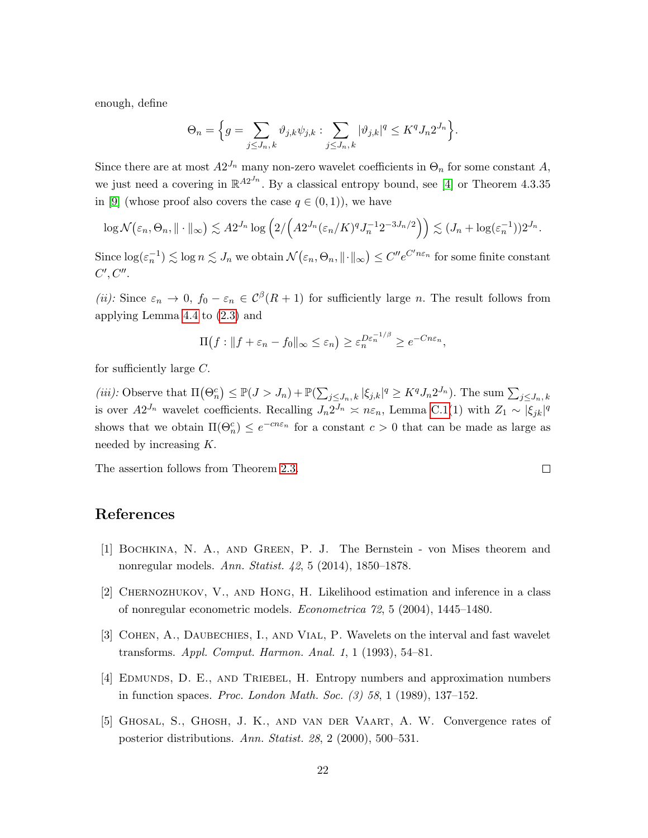enough, define

$$
\Theta_n = \Big\{ g = \sum_{j \le J_n, k} \vartheta_{j,k} \psi_{j,k} : \sum_{j \le J_n, k} |\vartheta_{j,k}|^q \le K^q J_n 2^{J_n} \Big\}.
$$

Since there are at most  $A2^{J_n}$  many non-zero wavelet coefficients in  $\Theta_n$  for some constant A, we just need a covering in  $\mathbb{R}^{A2^{J_n}}$ . By a classical entropy bound, see [\[4\]](#page-21-4) or Theorem 4.3.35 in [\[9\]](#page-22-13) (whose proof also covers the case  $q \in (0,1)$ ), we have

$$
\log \mathcal{N}\big(\varepsilon_n, \Theta_n, \|\cdot\|_{\infty}\big) \lesssim A 2^{J_n} \log \Big(2 / \Big(A 2^{J_n} (\varepsilon_n/K)^q J_n^{-1} 2^{-3J_n/2}\Big)\Big) \lesssim (J_n + \log(\varepsilon_n^{-1})) 2^{J_n}.
$$

Since  $\log(\varepsilon_n^{-1}) \lesssim \log n \lesssim J_n$  we obtain  $\mathcal{N}(\varepsilon_n, \Theta_n, \lVert \cdot \rVert_\infty) \leq C'' e^{C'n \varepsilon_n}$  for some finite constant  $C', C''.$ 

(ii): Since  $\varepsilon_n \to 0$ ,  $f_0 - \varepsilon_n \in C^{\beta}(R+1)$  for sufficiently large n. The result follows from applying Lemma [4.4](#page-11-1) to [\(2.3\)](#page-5-1) and

$$
\Pi(f: ||f + \varepsilon_n - f_0||_{\infty} \le \varepsilon_n) \ge \varepsilon_n^{D\varepsilon_n^{-1/\beta}} \ge e^{-Cn\varepsilon_n},
$$

for sufficiently large  $C$ .

(iii): Observe that  $\Pi(\Theta_n^c) \leq \mathbb{P}(J > J_n) + \mathbb{P}(\sum_{j \leq J_n,k} |\xi_{j,k}|^q \geq K^q J_n 2^{J_n}).$  The sum  $\sum_{j \leq J_n,k}$ is over  $A2^{J_n}$  wavelet coefficients. Recalling  $J_n 2^{J_n} \approx n \varepsilon_n$ , Lemma [C.1\(](#page-17-2)1) with  $Z_1 \sim |\xi_{jk}|^q$ shows that we obtain  $\Pi(\Theta_n^c) \leq e^{-cn\varepsilon_n}$  for a constant  $c > 0$  that can be made as large as needed by increasing K.

The assertion follows from Theorem [2.3.](#page-4-1)

## References

- <span id="page-21-2"></span>[1] Bochkina, N. A., and Green, P. J. The Bernstein - von Mises theorem and nonregular models. Ann. Statist. 42, 5 (2014), 1850–1878.
- <span id="page-21-1"></span>[2] Chernozhukov, V., and Hong, H. Likelihood estimation and inference in a class of nonregular econometric models. Econometrica 72, 5 (2004), 1445–1480.
- <span id="page-21-3"></span>[3] COHEN, A., DAUBECHIES, I., AND VIAL, P. Wavelets on the interval and fast wavelet transforms. Appl. Comput. Harmon. Anal. 1, 1 (1993), 54–81.
- <span id="page-21-4"></span>[4] Edmunds, D. E., and Triebel, H. Entropy numbers and approximation numbers in function spaces. Proc. London Math. Soc. (3) 58, 1 (1989), 137–152.
- <span id="page-21-0"></span>[5] Ghosal, S., Ghosh, J. K., and van der Vaart, A. W. Convergence rates of posterior distributions. Ann. Statist. 28, 2 (2000), 500–531.

 $\Box$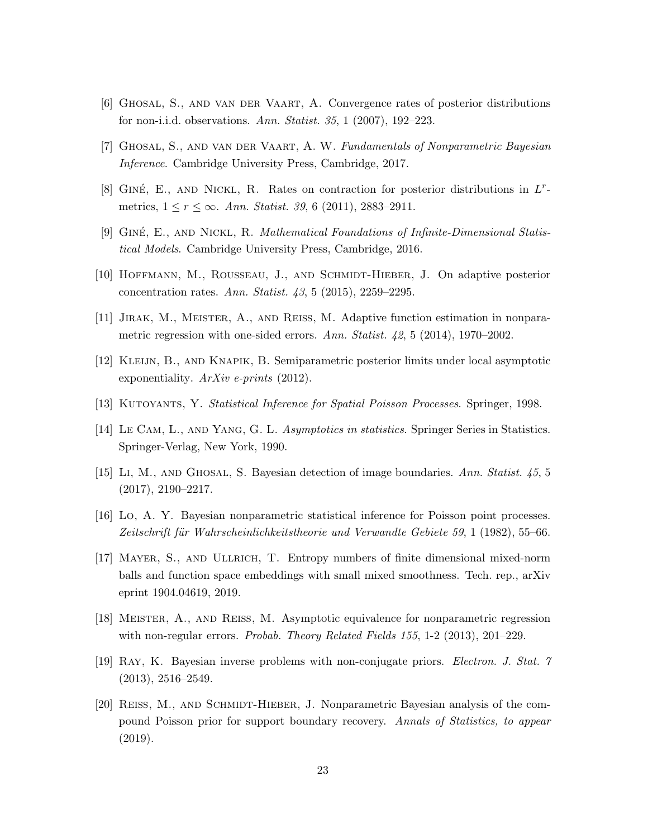- <span id="page-22-3"></span>[6] Ghosal, S., and van der Vaart, A. Convergence rates of posterior distributions for non-i.i.d. observations. Ann. Statist. 35, 1 (2007), 192–223.
- <span id="page-22-12"></span>[7] Ghosal, S., and van der Vaart, A. W. Fundamentals of Nonparametric Bayesian Inference. Cambridge University Press, Cambridge, 2017.
- <span id="page-22-9"></span>[8] GINÉ, E., AND NICKL, R. Rates on contraction for posterior distributions in  $L^r$ metrics,  $1 \le r \le \infty$ . Ann. Statist. 39, 6 (2011), 2883–2911.
- <span id="page-22-13"></span>[9] GINÉ, E., AND NICKL, R. Mathematical Foundations of Infinite-Dimensional Statistical Models. Cambridge University Press, Cambridge, 2016.
- <span id="page-22-8"></span>[10] Hoffmann, M., Rousseau, J., and Schmidt-Hieber, J. On adaptive posterior concentration rates. Ann. Statist. 43, 5 (2015), 2259–2295.
- <span id="page-22-1"></span>[11] Jirak, M., Meister, A., and Reiß, M. Adaptive function estimation in nonparametric regression with one-sided errors. Ann. Statist. 42, 5 (2014), 1970–2002.
- <span id="page-22-5"></span>[12] Kleijn, B., and Knapik, B. Semiparametric posterior limits under local asymptotic exponentiality.  $ArXiv$  e-prints (2012).
- <span id="page-22-11"></span>[13] KUTOYANTS, Y. Statistical Inference for Spatial Poisson Processes. Springer, 1998.
- <span id="page-22-2"></span>[14] LE CAM, L., AND YANG, G. L. Asymptotics in statistics. Springer Series in Statistics. Springer-Verlag, New York, 1990.
- <span id="page-22-7"></span>[15] Li, M., AND GHOSAL, S. Bayesian detection of image boundaries. Ann. Statist.  $45, 5$  $(2017), 2190 - 2217.$
- <span id="page-22-6"></span>[16] Lo, A. Y. Bayesian nonparametric statistical inference for Poisson point processes. Zeitschrift für Wahrscheinlichkeitstheorie und Verwandte Gebiete 59, 1 (1982), 55–66.
- <span id="page-22-14"></span>[17] Mayer, S., and Ullrich, T. Entropy numbers of finite dimensional mixed-norm balls and function space embeddings with small mixed smoothness. Tech. rep., arXiv eprint 1904.04619, 2019.
- <span id="page-22-0"></span>[18] Meister, A., and Reiß, M. Asymptotic equivalence for nonparametric regression with non-regular errors. *Probab. Theory Related Fields 155*, 1-2 (2013), 201–229.
- <span id="page-22-10"></span>[19] Ray, K. Bayesian inverse problems with non-conjugate priors. Electron. J. Stat. 7  $(2013), 2516 - 2549.$
- <span id="page-22-4"></span>[20] REISS, M., AND SCHMIDT-HIEBER, J. Nonparametric Bayesian analysis of the compound Poisson prior for support boundary recovery. Annals of Statistics, to appear (2019).